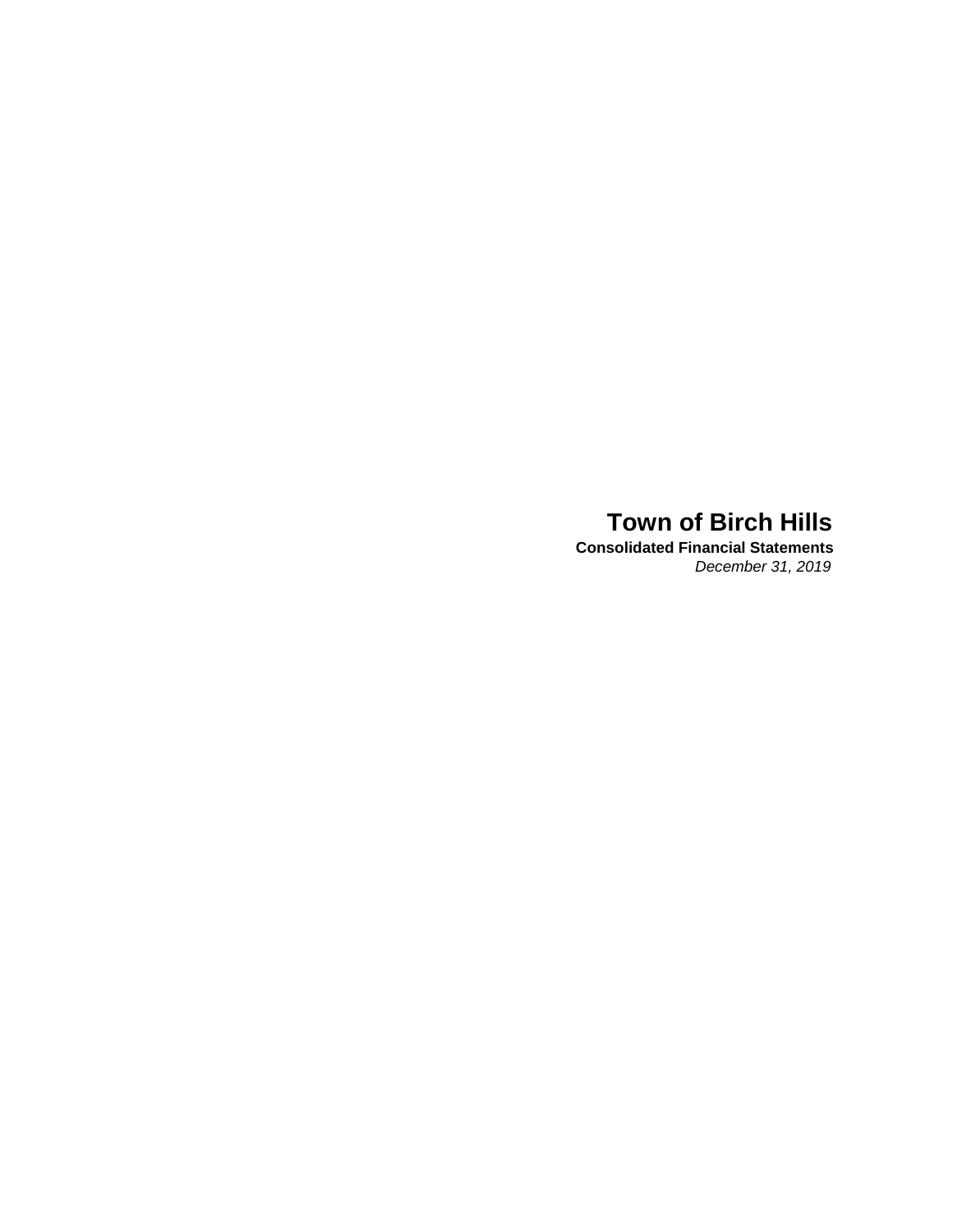# **Town of Birch Hills**

**Consolidated Financial Statements** *December 31, 2019*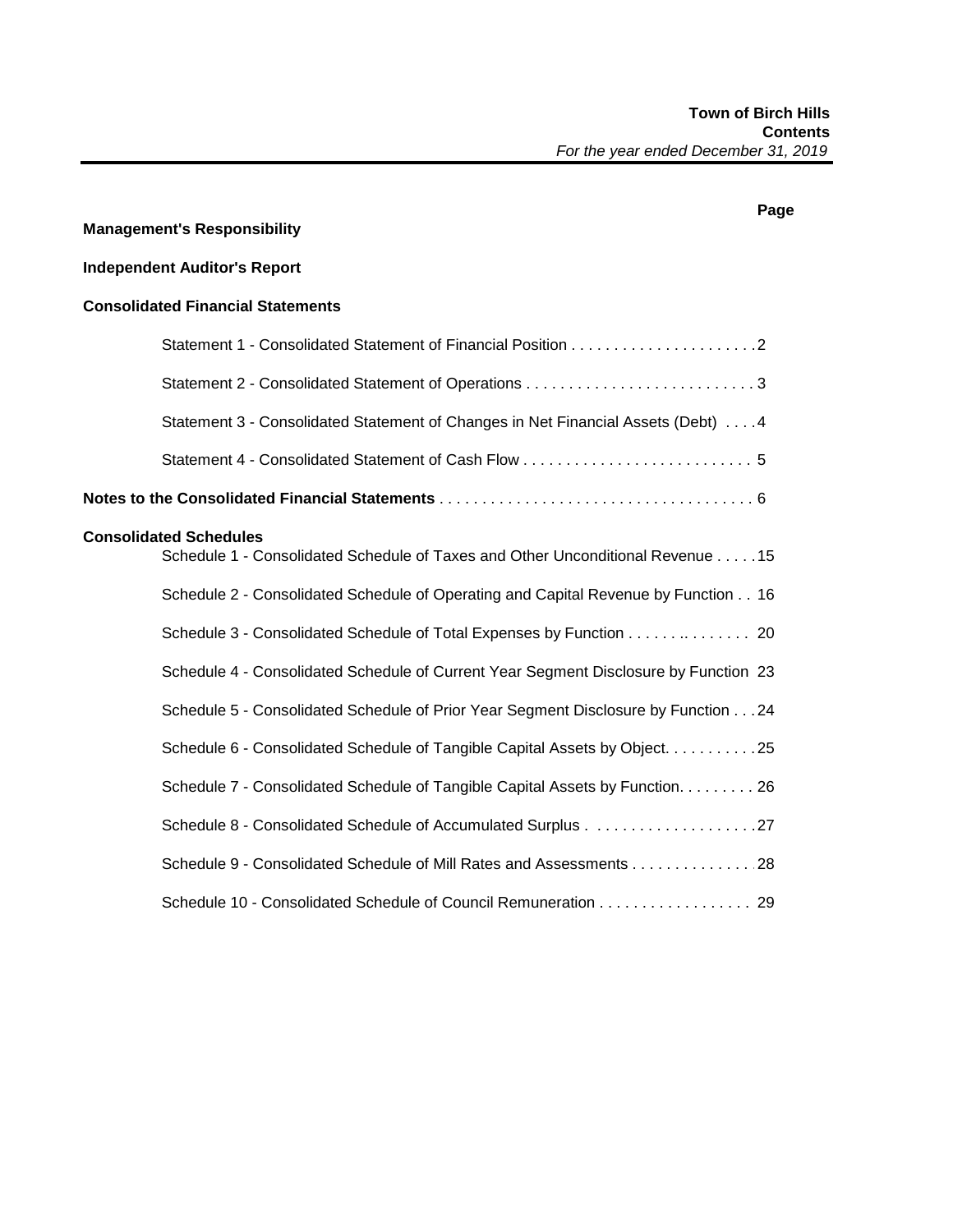| <b>Management's Responsibility</b>                                                                              | Page |
|-----------------------------------------------------------------------------------------------------------------|------|
| <b>Independent Auditor's Report</b>                                                                             |      |
| <b>Consolidated Financial Statements</b>                                                                        |      |
|                                                                                                                 |      |
|                                                                                                                 |      |
| Statement 3 - Consolidated Statement of Changes in Net Financial Assets (Debt) 4                                |      |
|                                                                                                                 |      |
|                                                                                                                 |      |
| <b>Consolidated Schedules</b><br>Schedule 1 - Consolidated Schedule of Taxes and Other Unconditional Revenue 15 |      |
| Schedule 2 - Consolidated Schedule of Operating and Capital Revenue by Function 16                              |      |
| Schedule 3 - Consolidated Schedule of Total Expenses by Function 20                                             |      |
| Schedule 4 - Consolidated Schedule of Current Year Segment Disclosure by Function 23                            |      |
| Schedule 5 - Consolidated Schedule of Prior Year Segment Disclosure by Function 24                              |      |
| Schedule 6 - Consolidated Schedule of Tangible Capital Assets by Object. 25                                     |      |
| Schedule 7 - Consolidated Schedule of Tangible Capital Assets by Function. 26                                   |      |
|                                                                                                                 |      |
| Schedule 9 - Consolidated Schedule of Mill Rates and Assessments 28                                             |      |
| Schedule 10 - Consolidated Schedule of Council Remuneration 29                                                  |      |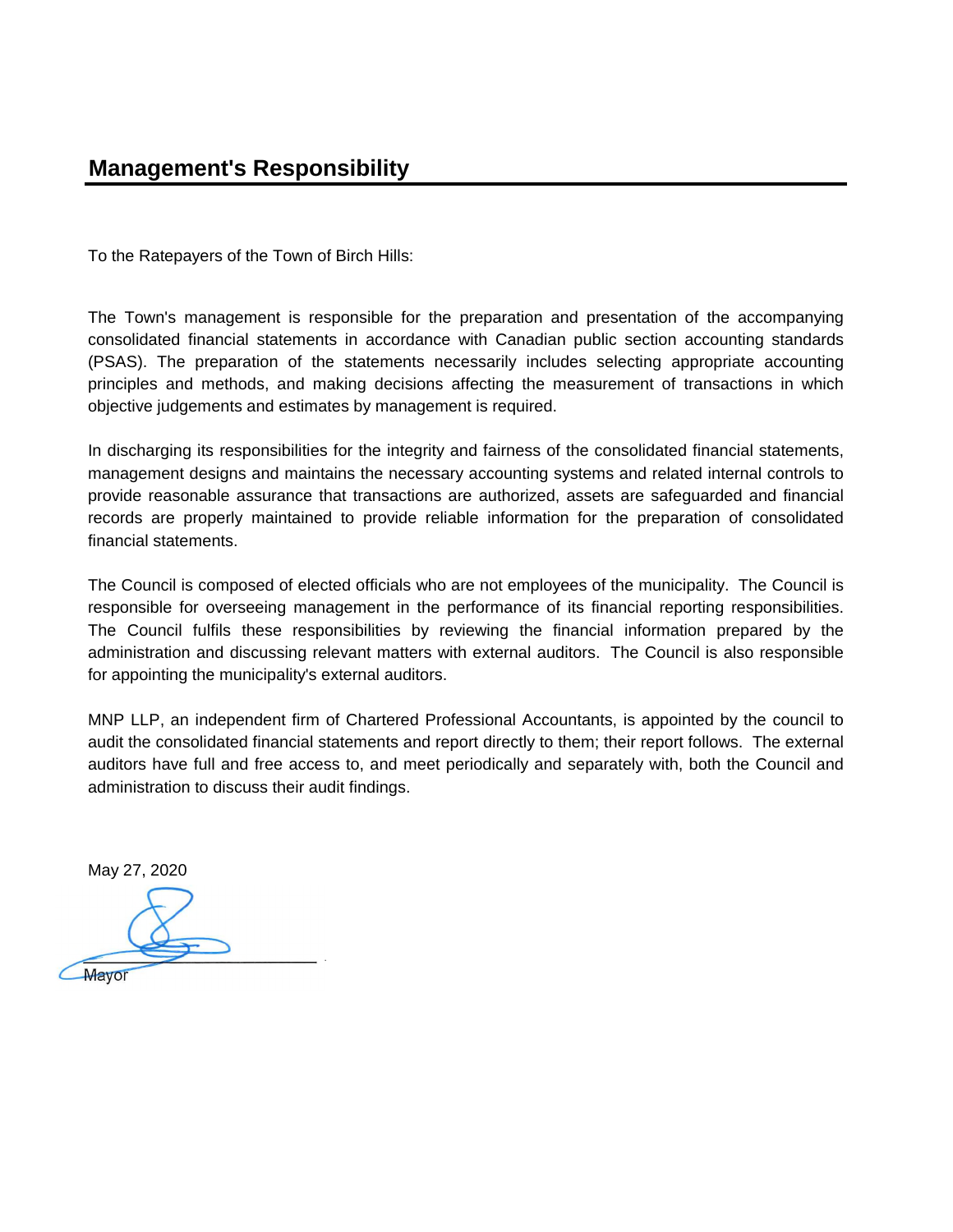To the Ratepayers of the Town of Birch Hills:

The Town's management is responsible for the preparation and presentation of the accompanying consolidated financial statements in accordance with Canadian public section accounting standards (PSAS). The preparation of the statements necessarily includes selecting appropriate accounting principles and methods, and making decisions affecting the measurement of transactions in which objective judgements and estimates by management is required.

In discharging its responsibilities for the integrity and fairness of the consolidated financial statements, management designs and maintains the necessary accounting systems and related internal controls to provide reasonable assurance that transactions are authorized, assets are safeguarded and financial records are properly maintained to provide reliable information for the preparation of consolidated financial statements.

The Council is composed of elected officials who are not employees of the municipality. The Council is responsible for overseeing management in the performance of its financial reporting responsibilities. The Council fulfils these responsibilities by reviewing the financial information prepared by the administration and discussing relevant matters with external auditors. The Council is also responsible for appointing the municipality's external auditors.

MNP LLP, an independent firm of Chartered Professional Accountants, is appointed by the council to audit the consolidated financial statements and report directly to them; their report follows. The external auditors have full and free access to, and meet periodically and separately with, both the Council and administration to discuss their audit findings.

May 27, 2020

 $\overbrace{\phantom{aaaaa}}^{2}$ **Mayor**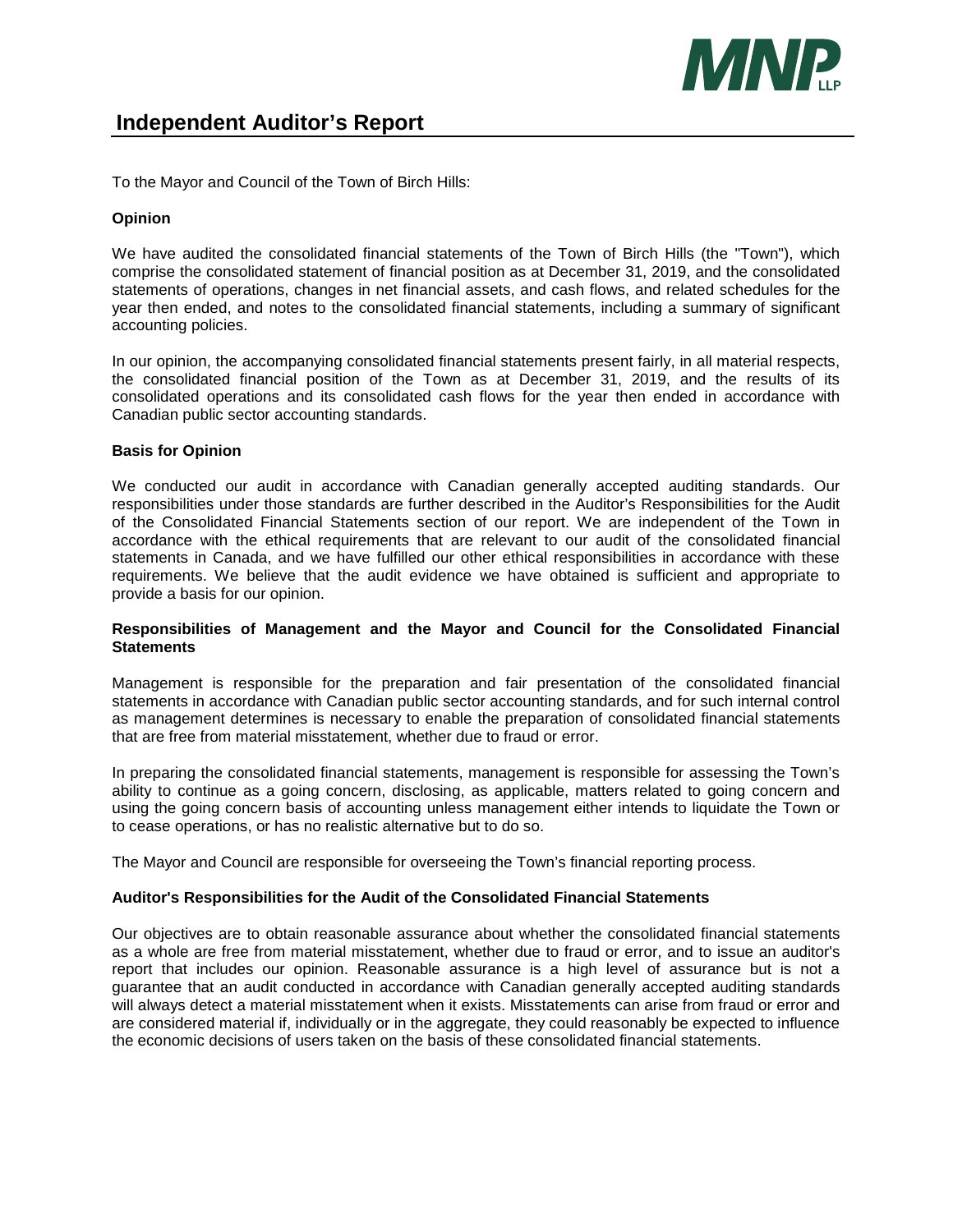

To the Mayor and Council of the Town of Birch Hills:

### **Opinion**

We have audited the consolidated financial statements of the Town of Birch Hills (the "Town"), which comprise the consolidated statement of financial position as at December 31, 2019, and the consolidated statements of operations, changes in net financial assets, and cash flows, and related schedules for the year then ended, and notes to the consolidated financial statements, including a summary of significant accounting policies.

In our opinion, the accompanying consolidated financial statements present fairly, in all material respects, the consolidated financial position of the Town as at December 31, 2019, and the results of its consolidated operations and its consolidated cash flows for the year then ended in accordance with Canadian public sector accounting standards.

### **Basis for Opinion**

We conducted our audit in accordance with Canadian generally accepted auditing standards. Our responsibilities under those standards are further described in the Auditor's Responsibilities for the Audit of the Consolidated Financial Statements section of our report. We are independent of the Town in accordance with the ethical requirements that are relevant to our audit of the consolidated financial statements in Canada, and we have fulfilled our other ethical responsibilities in accordance with these requirements. We believe that the audit evidence we have obtained is sufficient and appropriate to provide a basis for our opinion.

### **Responsibilities of Management and the Mayor and Council for the Consolidated Financial Statements**

Management is responsible for the preparation and fair presentation of the consolidated financial statements in accordance with Canadian public sector accounting standards, and for such internal control as management determines is necessary to enable the preparation of consolidated financial statements that are free from material misstatement, whether due to fraud or error.

In preparing the consolidated financial statements, management is responsible for assessing the Town's ability to continue as a going concern, disclosing, as applicable, matters related to going concern and using the going concern basis of accounting unless management either intends to liquidate the Town or to cease operations, or has no realistic alternative but to do so.

The Mayor and Council are responsible for overseeing the Town's financial reporting process.

### **Auditor's Responsibilities for the Audit of the Consolidated Financial Statements**

Our objectives are to obtain reasonable assurance about whether the consolidated financial statements as a whole are free from material misstatement, whether due to fraud or error, and to issue an auditor's report that includes our opinion. Reasonable assurance is a high level of assurance but is not a guarantee that an audit conducted in accordance with Canadian generally accepted auditing standards will always detect a material misstatement when it exists. Misstatements can arise from fraud or error and are considered material if, individually or in the aggregate, they could reasonably be expected to influence the economic decisions of users taken on the basis of these consolidated financial statements.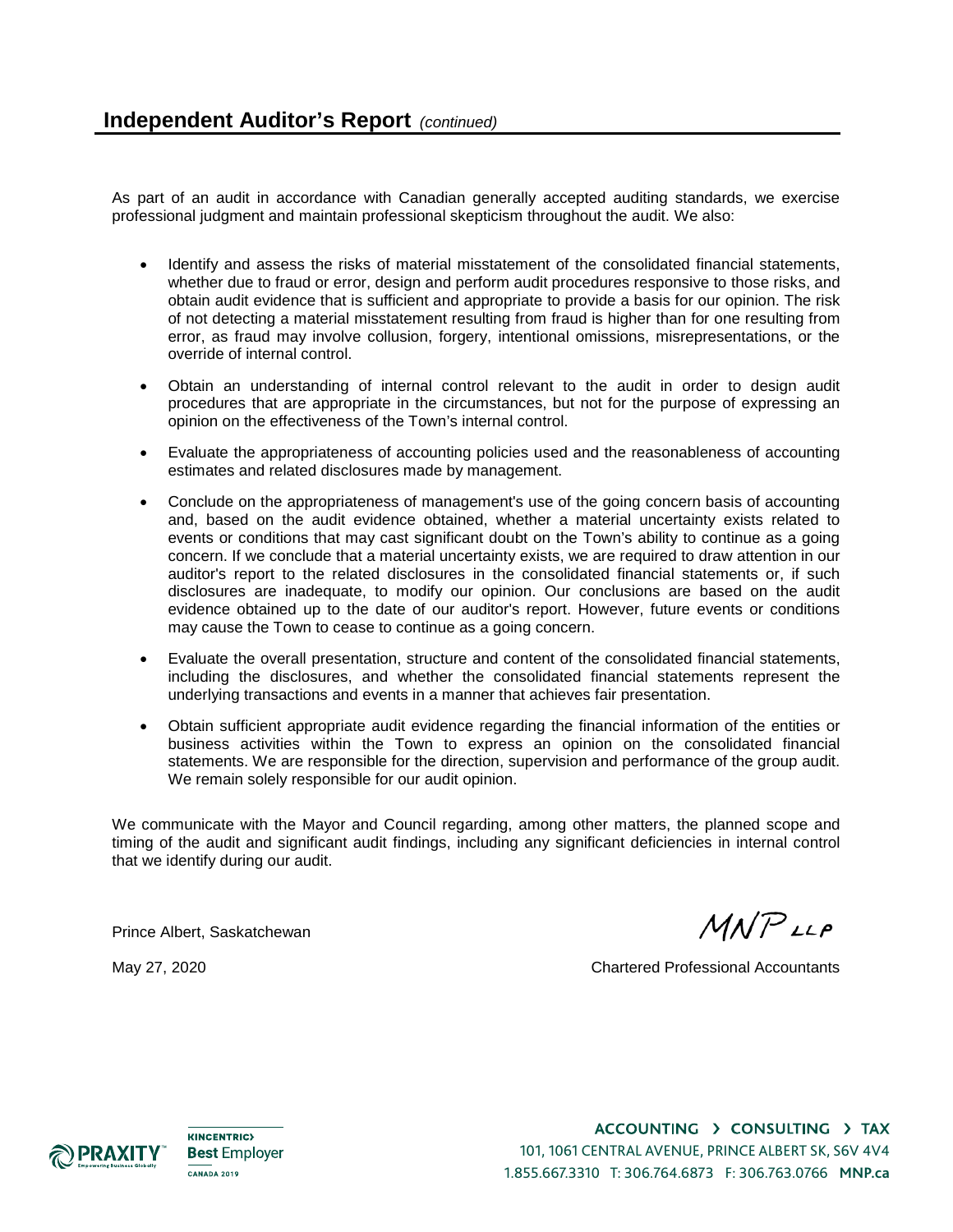As part of an audit in accordance with Canadian generally accepted auditing standards, we exercise professional judgment and maintain professional skepticism throughout the audit. We also:

- Identify and assess the risks of material misstatement of the consolidated financial statements, whether due to fraud or error, design and perform audit procedures responsive to those risks, and obtain audit evidence that is sufficient and appropriate to provide a basis for our opinion. The risk of not detecting a material misstatement resulting from fraud is higher than for one resulting from error, as fraud may involve collusion, forgery, intentional omissions, misrepresentations, or the override of internal control.
- Obtain an understanding of internal control relevant to the audit in order to design audit procedures that are appropriate in the circumstances, but not for the purpose of expressing an opinion on the effectiveness of the Town's internal control.
- Evaluate the appropriateness of accounting policies used and the reasonableness of accounting estimates and related disclosures made by management.
- Conclude on the appropriateness of management's use of the going concern basis of accounting and, based on the audit evidence obtained, whether a material uncertainty exists related to events or conditions that may cast significant doubt on the Town's ability to continue as a going concern. If we conclude that a material uncertainty exists, we are required to draw attention in our auditor's report to the related disclosures in the consolidated financial statements or, if such disclosures are inadequate, to modify our opinion. Our conclusions are based on the audit evidence obtained up to the date of our auditor's report. However, future events or conditions may cause the Town to cease to continue as a going concern.
- Evaluate the overall presentation, structure and content of the consolidated financial statements, including the disclosures, and whether the consolidated financial statements represent the underlying transactions and events in a manner that achieves fair presentation.
- Obtain sufficient appropriate audit evidence regarding the financial information of the entities or business activities within the Town to express an opinion on the consolidated financial statements. We are responsible for the direction, supervision and performance of the group audit. We remain solely responsible for our audit opinion.

We communicate with the Mayor and Council regarding, among other matters, the planned scope and timing of the audit and significant audit findings, including any significant deficiencies in internal control that we identify during our audit.

Prince Albert, Saskatchewan

 $M$  $\Lambda$ / $P$ <sub>LLP</sub>

May 27, 2020 Chartered Professional Accountants



**KINCENTRIC> Best Employer**  $CANADA 2019$ 

ACCOUNTING > CONSULTING > TAX 101, 1061 CENTRAL AVENUE, PRINCE ALBERT SK, S6V 4V4 1.855.667.3310 T: 306.764.6873 F: 306.763.0766 MNP.ca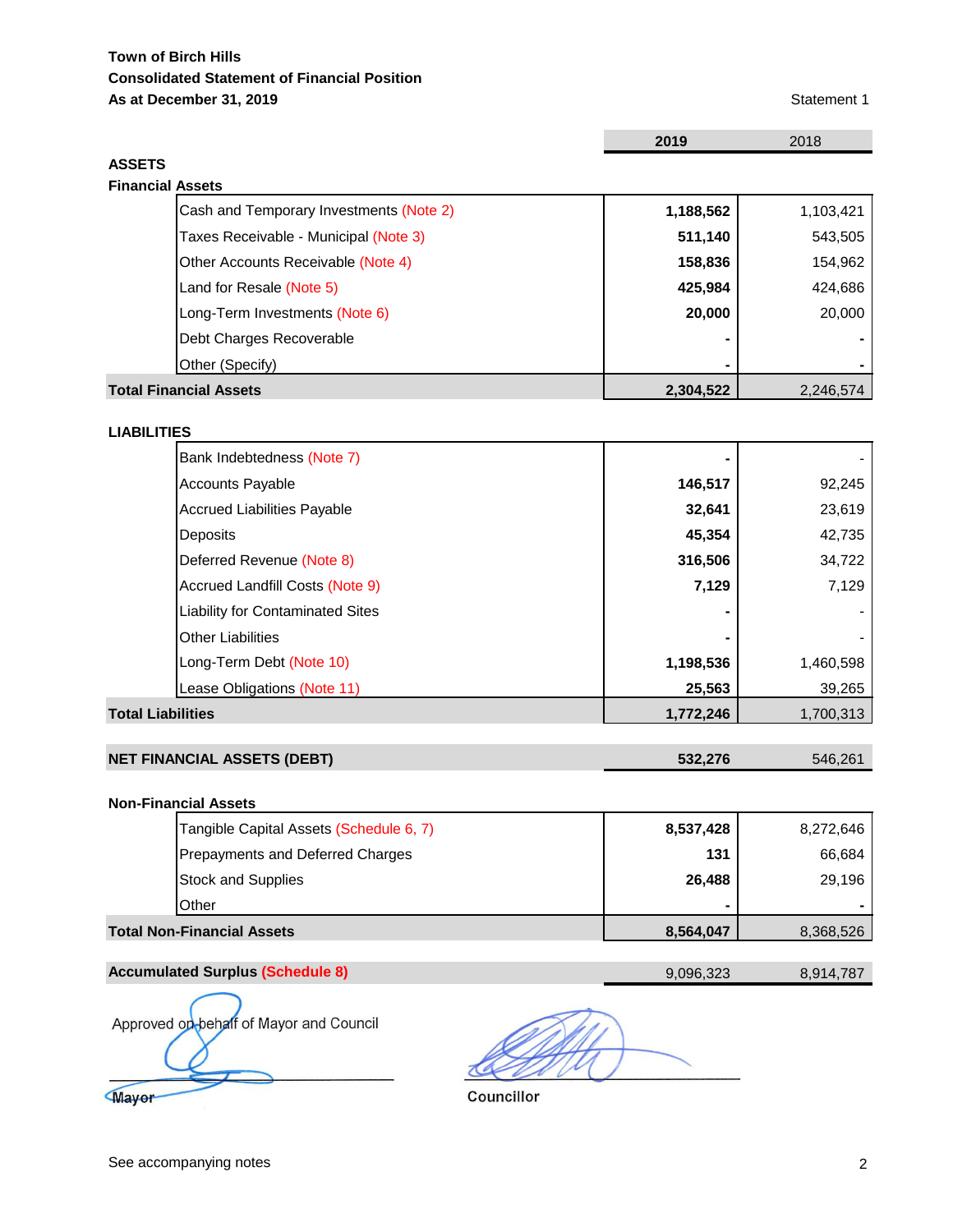|                                         | 2019      | 2018      |
|-----------------------------------------|-----------|-----------|
| <b>ASSETS</b>                           |           |           |
| <b>Financial Assets</b>                 |           |           |
| Cash and Temporary Investments (Note 2) | 1,188,562 | 1,103,421 |
| Taxes Receivable - Municipal (Note 3)   | 511,140   | 543,505   |
| Other Accounts Receivable (Note 4)      | 158,836   | 154,962   |
| Land for Resale (Note 5)                | 425,984   | 424,686   |
| Long-Term Investments (Note 6)          | 20,000    | 20,000    |
| Debt Charges Recoverable                |           |           |
| Other (Specify)                         |           |           |
| <b>Total Financial Assets</b>           | 2,304,522 | 2,246,574 |
|                                         |           |           |
| <b>LIABILITIES</b>                      |           |           |
| Bank Indebtedness (Note 7)              |           |           |
| <b>Accounts Payable</b>                 | 146,517   | 92,245    |
| <b>Accrued Liabilities Payable</b>      | 32,641    | 23,619    |
| Deposits                                | 45,354    | 42,735    |
| Deferred Revenue (Note 8)               | 316,506   | 34,722    |
| Accrued Landfill Costs (Note 9)         | 7,129     | 7,129     |
| <b>Liability for Contaminated Sites</b> |           |           |
| <b>Other Liabilities</b>                |           |           |
| Long-Term Debt (Note 10)                | 1,198,536 | 1,460,598 |
| Lease Obligations (Note 11)             | 25,563    | 39,265    |
| <b>Total Liabilities</b>                | 1,772,246 | 1,700,313 |
| <b>NET FINANCIAL ASSETS (DEBT)</b>      | 532,276   | 546,261   |
|                                         |           |           |
| <b>Non-Financial Assets</b>             |           |           |
| Tangible Capital Assets (Schedule 6, 7) | 8,537,428 | 8,272,646 |
| Prepayments and Deferred Charges        | 131       | 66,684    |
| <b>Stock and Supplies</b>               | 26,488    | 29,196    |

**Total Non-Financial Assets 8,368,526 8,368,526 8,368,526** 

**Accumulated Surplus (Schedule 8)** 9,096,323 8,914,787

Approved on behalf of Mayor and Council

**Mayor Councillor**

Other **- -**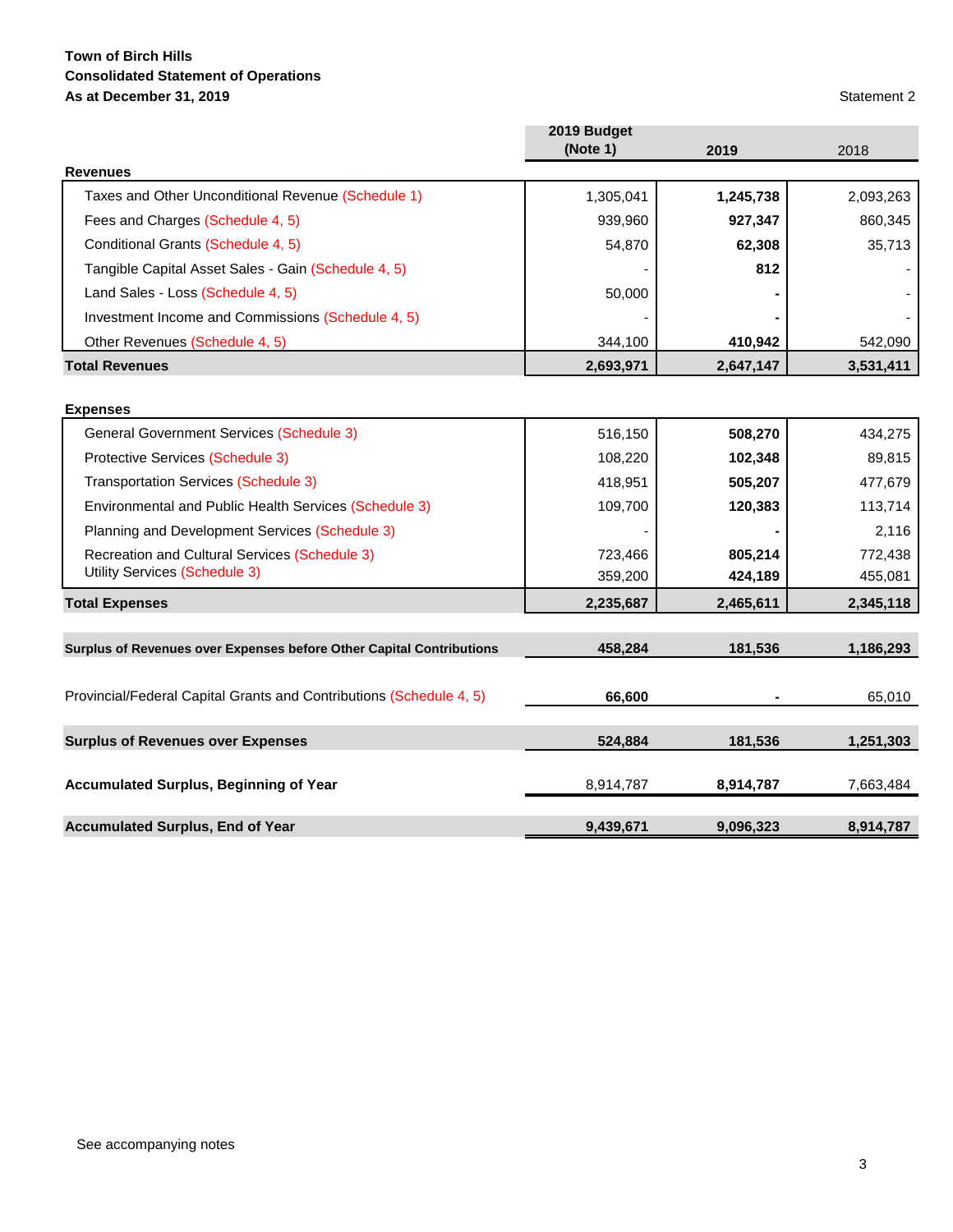### **Town of Birch Hills Consolidated Statement of Operations As at December 31, 2019** Statement 2

|                                                                      | 2019 Budget<br>(Note 1) | 2019      | 2018      |
|----------------------------------------------------------------------|-------------------------|-----------|-----------|
| <b>Revenues</b>                                                      |                         |           |           |
| Taxes and Other Unconditional Revenue (Schedule 1)                   | 1,305,041               | 1,245,738 | 2,093,263 |
| Fees and Charges (Schedule 4, 5)                                     | 939,960                 | 927,347   | 860,345   |
| Conditional Grants (Schedule 4, 5)                                   | 54,870                  | 62,308    | 35,713    |
| Tangible Capital Asset Sales - Gain (Schedule 4, 5)                  |                         | 812       |           |
| Land Sales - Loss (Schedule 4, 5)                                    | 50,000                  |           |           |
| Investment Income and Commissions (Schedule 4, 5)                    |                         |           |           |
| Other Revenues (Schedule 4, 5)                                       | 344,100                 | 410,942   | 542,090   |
| <b>Total Revenues</b>                                                | 2,693,971               | 2,647,147 | 3,531,411 |
|                                                                      |                         |           |           |
| <b>Expenses</b><br><b>General Government Services (Schedule 3)</b>   | 516,150                 | 508,270   | 434,275   |
| Protective Services (Schedule 3)                                     | 108,220                 | 102,348   | 89,815    |
| <b>Transportation Services (Schedule 3)</b>                          | 418,951                 | 505,207   | 477,679   |
| Environmental and Public Health Services (Schedule 3)                | 109,700                 | 120,383   | 113,714   |
| Planning and Development Services (Schedule 3)                       |                         |           | 2,116     |
| Recreation and Cultural Services (Schedule 3)                        | 723,466                 | 805,214   | 772,438   |
| <b>Utility Services (Schedule 3)</b>                                 | 359,200                 | 424,189   | 455,081   |
| <b>Total Expenses</b>                                                | 2,235,687               | 2,465,611 | 2,345,118 |
|                                                                      |                         |           |           |
| Surplus of Revenues over Expenses before Other Capital Contributions | 458,284                 | 181,536   | 1,186,293 |
|                                                                      |                         |           |           |
| Provincial/Federal Capital Grants and Contributions (Schedule 4, 5)  | 66,600                  |           | 65,010    |
| <b>Surplus of Revenues over Expenses</b>                             | 524,884                 | 181,536   | 1,251,303 |
| <b>Accumulated Surplus, Beginning of Year</b>                        | 8,914,787               | 8,914,787 | 7,663,484 |
|                                                                      |                         |           |           |
| <b>Accumulated Surplus, End of Year</b>                              | 9,439,671               | 9,096,323 | 8,914,787 |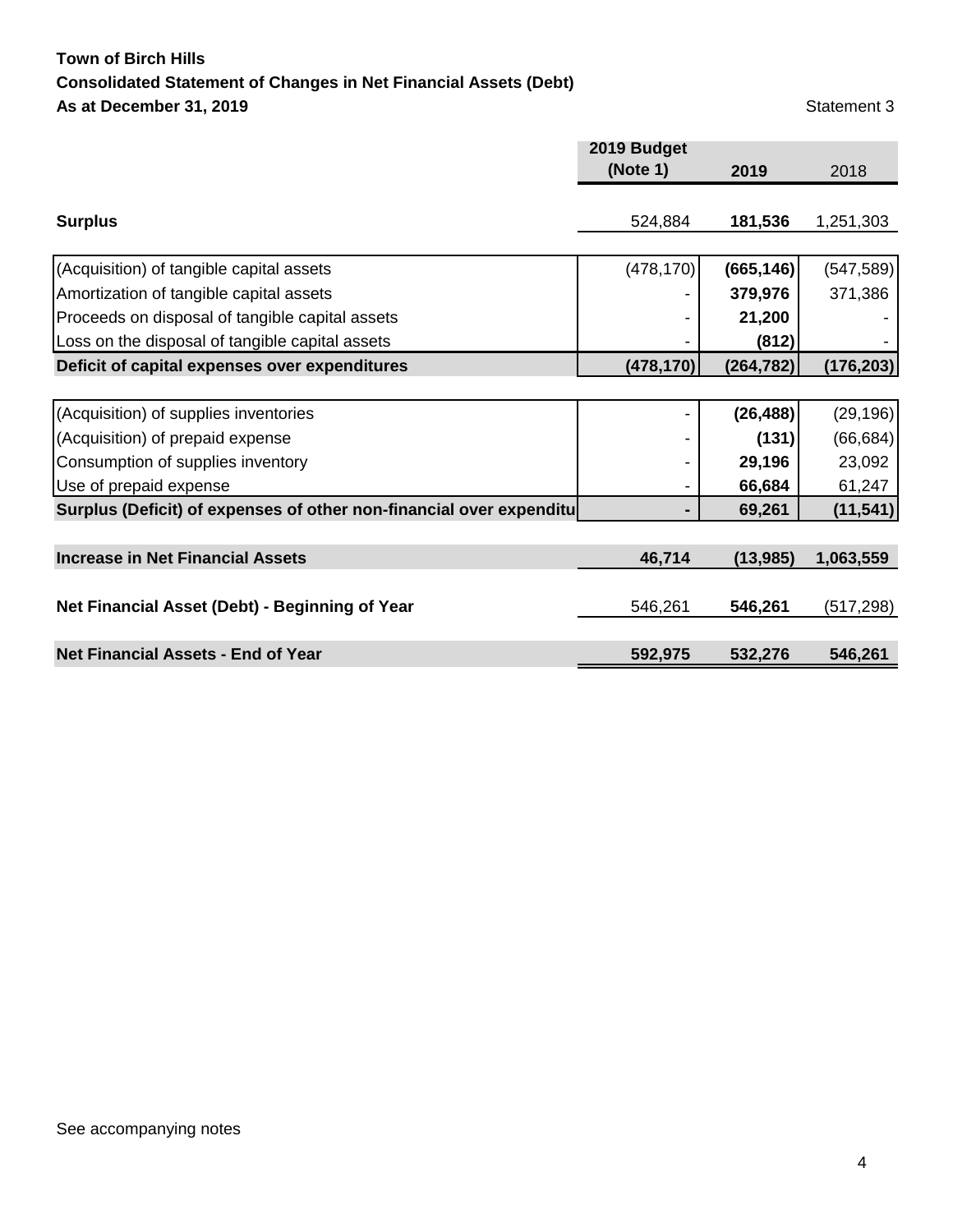## **Town of Birch Hills Consolidated Statement of Changes in Net Financial Assets (Debt) As at December 31, 2019** Statement 3

|                                                                     | 2019 Budget |            |            |
|---------------------------------------------------------------------|-------------|------------|------------|
|                                                                     | (Note 1)    | 2019       | 2018       |
|                                                                     |             |            |            |
| <b>Surplus</b>                                                      | 524,884     | 181,536    | 1,251,303  |
|                                                                     |             |            |            |
| (Acquisition) of tangible capital assets                            | (478, 170)  | (665, 146) | (547, 589) |
| Amortization of tangible capital assets                             |             | 379,976    | 371,386    |
| Proceeds on disposal of tangible capital assets                     |             | 21,200     |            |
| Loss on the disposal of tangible capital assets                     |             | (812)      |            |
| Deficit of capital expenses over expenditures                       | (478, 170)  | (264, 782) | (176, 203) |
|                                                                     |             |            |            |
| (Acquisition) of supplies inventories                               |             | (26, 488)  | (29, 196)  |
| (Acquisition) of prepaid expense                                    |             | (131)      | (66, 684)  |
| Consumption of supplies inventory                                   |             | 29,196     | 23,092     |
| Use of prepaid expense                                              |             | 66,684     | 61,247     |
| Surplus (Deficit) of expenses of other non-financial over expenditu |             | 69,261     | (11, 541)  |
|                                                                     |             |            |            |
| <b>Increase in Net Financial Assets</b>                             | 46,714      | (13, 985)  | 1,063,559  |
|                                                                     |             |            |            |
| Net Financial Asset (Debt) - Beginning of Year                      | 546,261     | 546,261    | (517, 298) |
|                                                                     |             |            |            |
| <b>Net Financial Assets - End of Year</b>                           | 592,975     | 532,276    | 546,261    |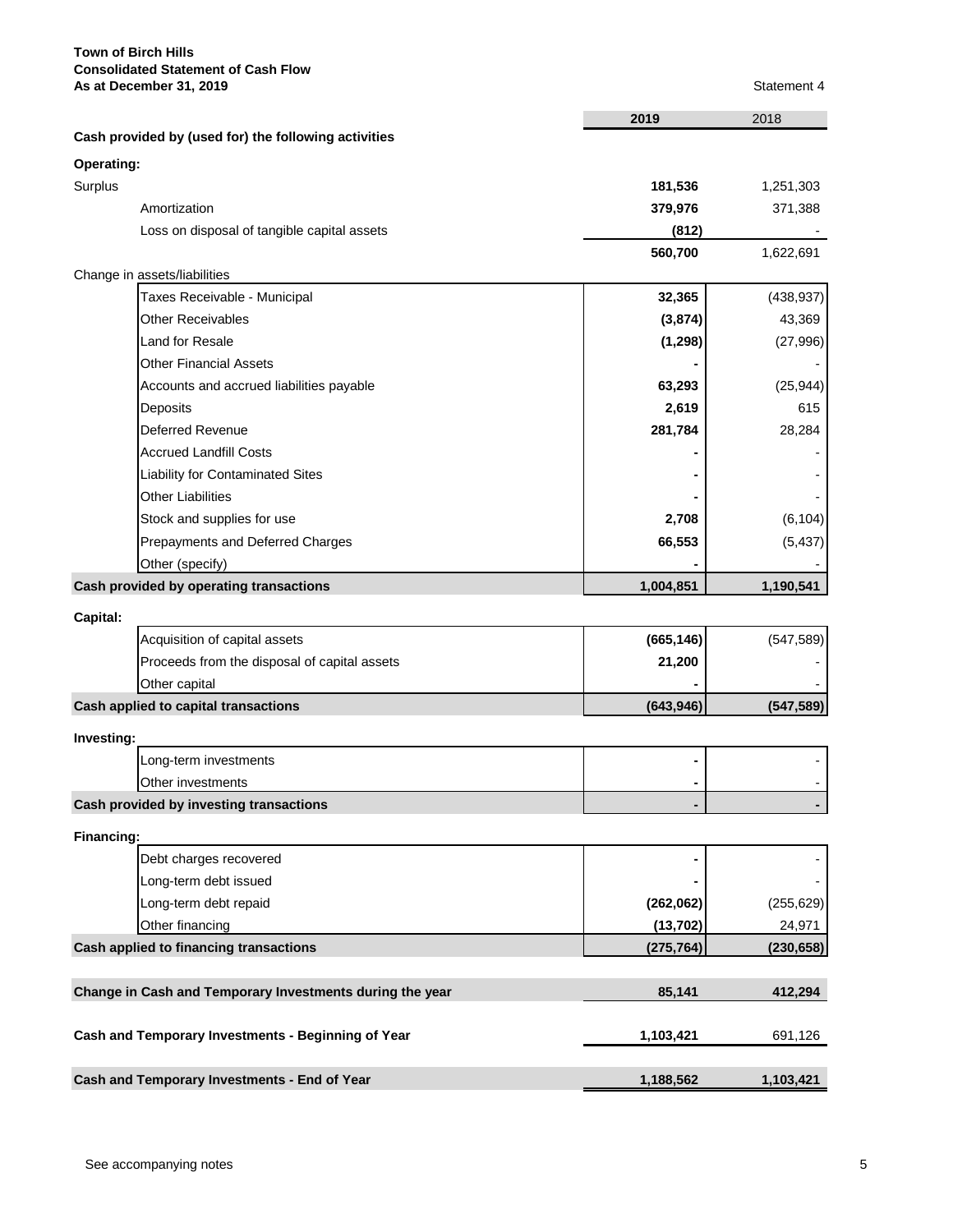### **Town of Birch Hills Consolidated Statement of Cash Flow As at December 31, 2019** Statement 4

| Statement 4 |  |
|-------------|--|
|             |  |

|                                                          | 2019       | 2018       |
|----------------------------------------------------------|------------|------------|
| Cash provided by (used for) the following activities     |            |            |
| Operating:                                               |            |            |
| Surplus                                                  | 181,536    | 1,251,303  |
| Amortization                                             | 379,976    | 371,388    |
| Loss on disposal of tangible capital assets              | (812)      |            |
|                                                          | 560,700    | 1,622,691  |
| Change in assets/liabilities                             |            |            |
| Taxes Receivable - Municipal                             | 32,365     | (438, 937) |
| <b>Other Receivables</b>                                 | (3,874)    | 43,369     |
| Land for Resale                                          | (1, 298)   | (27, 996)  |
| <b>Other Financial Assets</b>                            |            |            |
| Accounts and accrued liabilities payable                 | 63,293     | (25, 944)  |
| Deposits                                                 | 2,619      | 615        |
| Deferred Revenue                                         | 281,784    | 28,284     |
| <b>Accrued Landfill Costs</b>                            |            |            |
| <b>Liability for Contaminated Sites</b>                  |            |            |
| <b>Other Liabilities</b>                                 |            |            |
| Stock and supplies for use                               | 2,708      | (6, 104)   |
| Prepayments and Deferred Charges                         | 66,553     | (5, 437)   |
| Other (specify)                                          |            |            |
| Cash provided by operating transactions                  | 1,004,851  | 1,190,541  |
| Capital:                                                 |            |            |
| Acquisition of capital assets                            | (665, 146) | (547, 589) |
| Proceeds from the disposal of capital assets             | 21,200     |            |
| Other capital                                            |            |            |
| <b>Cash applied to capital transactions</b>              | (643, 946) | (547, 589) |
|                                                          |            |            |
| Investing:                                               |            |            |
| Long-term investments                                    |            |            |
| Other investments                                        |            |            |
| Cash provided by investing transactions                  |            |            |
| Financing:                                               |            |            |
| Debt charges recovered                                   |            |            |
| Long-term debt issued                                    |            |            |
| Long-term debt repaid                                    | (262,062)  | (255, 629) |
| Other financing                                          | (13, 702)  | 24,971     |
| Cash applied to financing transactions                   | (275, 764) | (230, 658) |
|                                                          |            |            |
| Change in Cash and Temporary Investments during the year | 85,141     | 412,294    |
|                                                          |            |            |
| Cash and Temporary Investments - Beginning of Year       | 1,103,421  | 691,126    |
| Cash and Temporary Investments - End of Year             | 1,188,562  | 1,103,421  |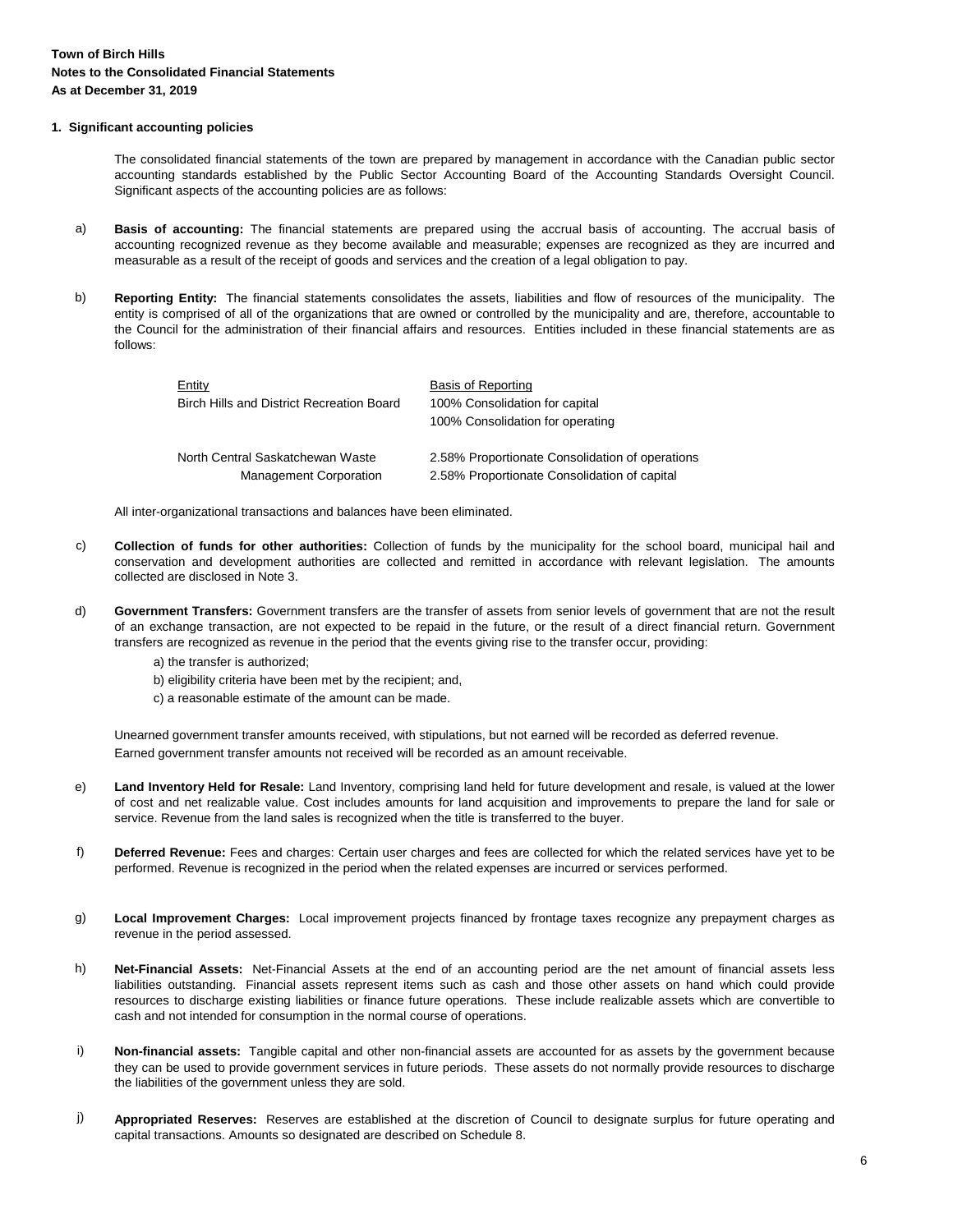### **1. Significant accounting policies**

The consolidated financial statements of the town are prepared by management in accordance with the Canadian public sector accounting standards established by the Public Sector Accounting Board of the Accounting Standards Oversight Council. Significant aspects of the accounting policies are as follows:

- a) **Basis of accounting:** The financial statements are prepared using the accrual basis of accounting. The accrual basis of accounting recognized revenue as they become available and measurable; expenses are recognized as they are incurred and measurable as a result of the receipt of goods and services and the creation of a legal obligation to pay.
- **Reporting Entity:** The financial statements consolidates the assets, liabilities and flow of resources of the municipality. The entity is comprised of all of the organizations that are owned or controlled by the municipality and are, therefore, accountable to the Council for the administration of their financial affairs and resources. Entities included in these financial statements are as follows: b)

| <b>Entity</b>                             | Basis of Reporting                              |
|-------------------------------------------|-------------------------------------------------|
| Birch Hills and District Recreation Board | 100% Consolidation for capital                  |
|                                           | 100% Consolidation for operating                |
| North Central Saskatchewan Waste          | 2.58% Proportionate Consolidation of operations |
| <b>Management Corporation</b>             | 2.58% Proportionate Consolidation of capital    |

All inter-organizational transactions and balances have been eliminated.

- c) **Collection of funds for other authorities:** Collection of funds by the municipality for the school board, municipal hail and conservation and development authorities are collected and remitted in accordance with relevant legislation. The amounts collected are disclosed in Note 3.
- **Government Transfers:** Government transfers are the transfer of assets from senior levels of government that are not the result of an exchange transaction, are not expected to be repaid in the future, or the result of a direct financial return. Government transfers are recognized as revenue in the period that the events giving rise to the transfer occur, providing: d)
	- a) the transfer is authorized;
	- b) eligibility criteria have been met by the recipient; and,
	- c) a reasonable estimate of the amount can be made.

Unearned government transfer amounts received, with stipulations, but not earned will be recorded as deferred revenue. Earned government transfer amounts not received will be recorded as an amount receivable.

- e) **Land Inventory Held for Resale:** Land Inventory, comprising land held for future development and resale, is valued at the lower of cost and net realizable value. Cost includes amounts for land acquisition and improvements to prepare the land for sale or service. Revenue from the land sales is recognized when the title is transferred to the buyer.
- f) **Deferred Revenue:** Fees and charges: Certain user charges and fees are collected for which the related services have yet to be performed. Revenue is recognized in the period when the related expenses are incurred or services performed.
- **Local Improvement Charges:** Local improvement projects financed by frontage taxes recognize any prepayment charges as revenue in the period assessed. g)
- **Net-Financial Assets:** Net-Financial Assets at the end of an accounting period are the net amount of financial assets less liabilities outstanding. Financial assets represent items such as cash and those other assets on hand which could provide resources to discharge existing liabilities or finance future operations. These include realizable assets which are convertible to cash and not intended for consumption in the normal course of operations. h)
- i) **Non-financial assets:** Tangible capital and other non-financial assets are accounted for as assets by the government because they can be used to provide government services in future periods. These assets do not normally provide resources to discharge the liabilities of the government unless they are sold.
- **Appropriated Reserves:** Reserves are established at the discretion of Council to designate surplus for future operating and capital transactions. Amounts so designated are described on Schedule 8. j)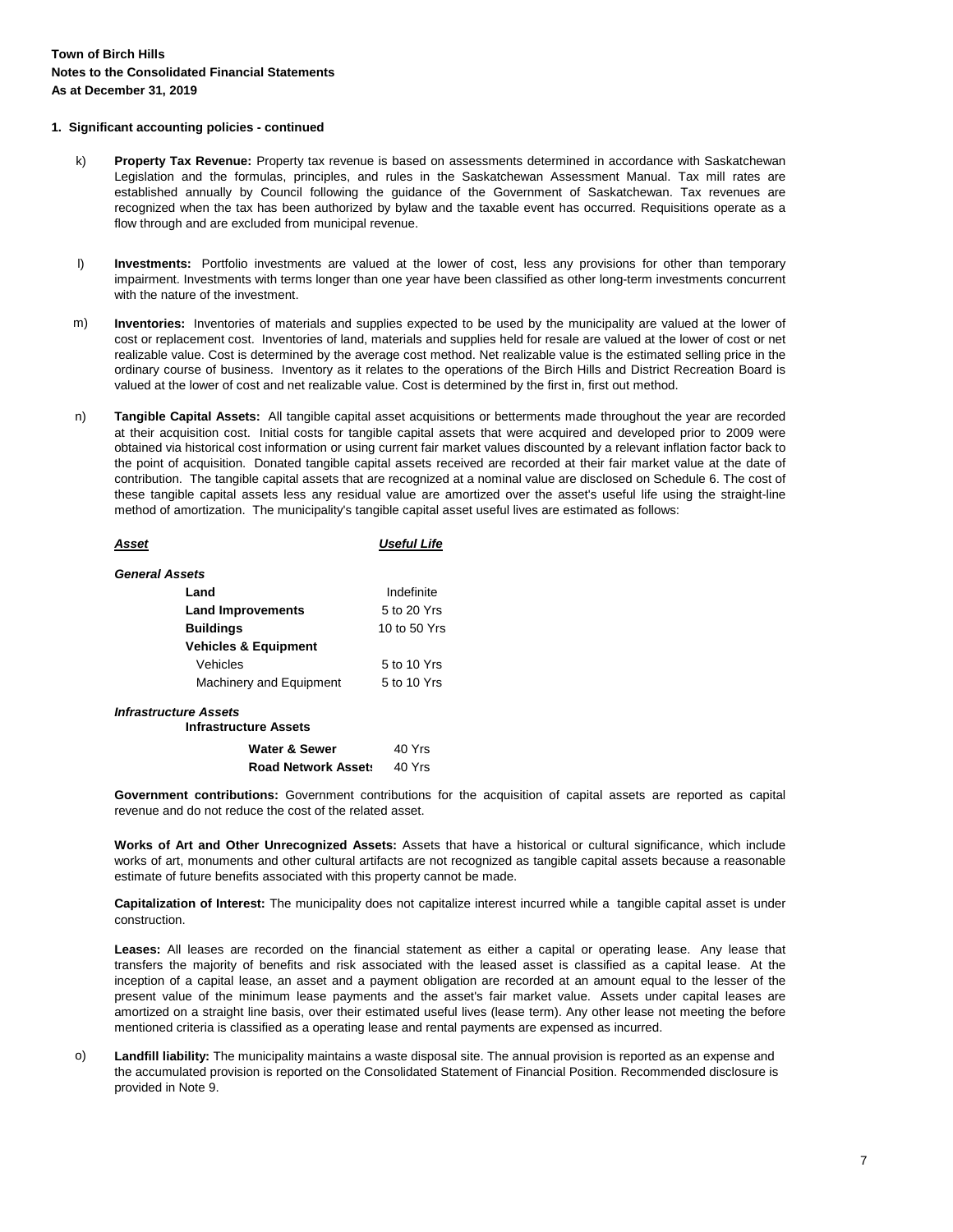### **1. Significant accounting policies - continued**

- k) **Property Tax Revenue:** Property tax revenue is based on assessments determined in accordance with Saskatchewan Legislation and the formulas, principles, and rules in the Saskatchewan Assessment Manual. Tax mill rates are established annually by Council following the guidance of the Government of Saskatchewan. Tax revenues are recognized when the tax has been authorized by bylaw and the taxable event has occurred. Requisitions operate as a flow through and are excluded from municipal revenue.
- l) **Investments:** Portfolio investments are valued at the lower of cost, less any provisions for other than temporary impairment. Investments with terms longer than one year have been classified as other long-term investments concurrent with the nature of the investment.
- m) **Inventories:** Inventories of materials and supplies expected to be used by the municipality are valued at the lower of cost or replacement cost. Inventories of land, materials and supplies held for resale are valued at the lower of cost or net realizable value. Cost is determined by the average cost method. Net realizable value is the estimated selling price in the ordinary course of business. Inventory as it relates to the operations of the Birch Hills and District Recreation Board is valued at the lower of cost and net realizable value. Cost is determined by the first in, first out method.
- n) **Tangible Capital Assets:** All tangible capital asset acquisitions or betterments made throughout the year are recorded at their acquisition cost. Initial costs for tangible capital assets that were acquired and developed prior to 2009 were obtained via historical cost information or using current fair market values discounted by a relevant inflation factor back to the point of acquisition. Donated tangible capital assets received are recorded at their fair market value at the date of contribution. The tangible capital assets that are recognized at a nominal value are disclosed on Schedule 6. The cost of these tangible capital assets less any residual value are amortized over the asset's useful life using the straight-line method of amortization. The municipality's tangible capital asset useful lives are estimated as follows:

| Asset                               |                                 | <b>Useful Life</b> |
|-------------------------------------|---------------------------------|--------------------|
| <b>General Assets</b>               |                                 |                    |
| Land                                |                                 | Indefinite         |
|                                     | <b>Land Improvements</b>        | 5 to 20 Yrs        |
|                                     | <b>Buildings</b>                | 10 to 50 Yrs       |
|                                     | <b>Vehicles &amp; Equipment</b> |                    |
|                                     | Vehicles                        | 5 to 10 Yrs        |
|                                     | Machinery and Equipment         | 5 to 10 Yrs        |
| <i><b>Infrastructure Assets</b></i> |                                 |                    |

**Infrastructure Assets**

| Water & Sewer              | $40Y$ rs |
|----------------------------|----------|
| <b>Road Network Assets</b> | 40 Yrs   |

**Government contributions:** Government contributions for the acquisition of capital assets are reported as capital revenue and do not reduce the cost of the related asset.

**Works of Art and Other Unrecognized Assets:** Assets that have a historical or cultural significance, which include works of art, monuments and other cultural artifacts are not recognized as tangible capital assets because a reasonable estimate of future benefits associated with this property cannot be made.

**Capitalization of Interest:** The municipality does not capitalize interest incurred while a tangible capital asset is under construction.

**Leases:** All leases are recorded on the financial statement as either a capital or operating lease. Any lease that transfers the majority of benefits and risk associated with the leased asset is classified as a capital lease. At the inception of a capital lease, an asset and a payment obligation are recorded at an amount equal to the lesser of the present value of the minimum lease payments and the asset's fair market value. Assets under capital leases are amortized on a straight line basis, over their estimated useful lives (lease term). Any other lease not meeting the before mentioned criteria is classified as a operating lease and rental payments are expensed as incurred.

**Landfill liability:** The municipality maintains a waste disposal site. The annual provision is reported as an expense and the accumulated provision is reported on the Consolidated Statement of Financial Position. Recommended disclosure is provided in Note 9. o)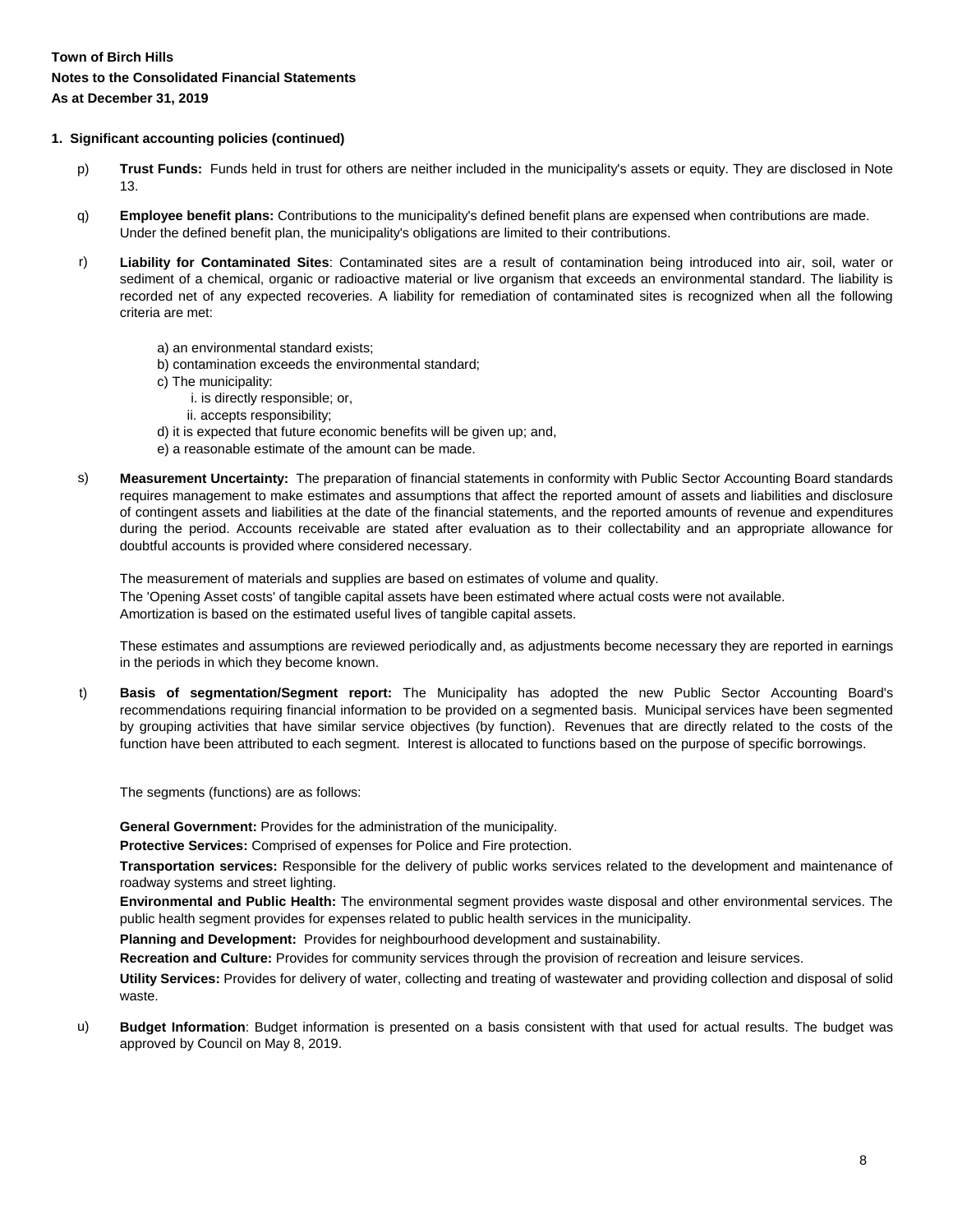### **1. Significant accounting policies (continued)**

- **Trust Funds:** Funds held in trust for others are neither included in the municipality's assets or equity. They are disclosed in Note 13. p)
- q) **Employee benefit plans:** Contributions to the municipality's defined benefit plans are expensed when contributions are made. Under the defined benefit plan, the municipality's obligations are limited to their contributions.
- **Liability for Contaminated Sites**: Contaminated sites are a result of contamination being introduced into air, soil, water or sediment of a chemical, organic or radioactive material or live organism that exceeds an environmental standard. The liability is recorded net of any expected recoveries. A liability for remediation of contaminated sites is recognized when all the following criteria are met: r)
	- a) an environmental standard exists;
	- b) contamination exceeds the environmental standard;
	- c) The municipality:
		- i. is directly responsible; or,
		- ii. accepts responsibility;
	- d) it is expected that future economic benefits will be given up; and,
	- e) a reasonable estimate of the amount can be made.
- s) **Measurement Uncertainty:** The preparation of financial statements in conformity with Public Sector Accounting Board standards requires management to make estimates and assumptions that affect the reported amount of assets and liabilities and disclosure of contingent assets and liabilities at the date of the financial statements, and the reported amounts of revenue and expenditures during the period. Accounts receivable are stated after evaluation as to their collectability and an appropriate allowance for doubtful accounts is provided where considered necessary.

The 'Opening Asset costs' of tangible capital assets have been estimated where actual costs were not available. The measurement of materials and supplies are based on estimates of volume and quality. Amortization is based on the estimated useful lives of tangible capital assets.

These estimates and assumptions are reviewed periodically and, as adjustments become necessary they are reported in earnings in the periods in which they become known.

t) **Basis of segmentation/Segment report:** The Municipality has adopted the new Public Sector Accounting Board's recommendations requiring financial information to be provided on a segmented basis. Municipal services have been segmented by grouping activities that have similar service objectives (by function). Revenues that are directly related to the costs of the function have been attributed to each segment. Interest is allocated to functions based on the purpose of specific borrowings.

The segments (functions) are as follows:

**General Government:** Provides for the administration of the municipality.

**Protective Services:** Comprised of expenses for Police and Fire protection.

**Transportation services:** Responsible for the delivery of public works services related to the development and maintenance of roadway systems and street lighting.

**Environmental and Public Health:** The environmental segment provides waste disposal and other environmental services. The public health segment provides for expenses related to public health services in the municipality.

**Planning and Development:** Provides for neighbourhood development and sustainability.

**Recreation and Culture:** Provides for community services through the provision of recreation and leisure services.

**Utility Services:** Provides for delivery of water, collecting and treating of wastewater and providing collection and disposal of solid waste.

u) **Budget Information**: Budget information is presented on a basis consistent with that used for actual results. The budget was approved by Council on May 8, 2019.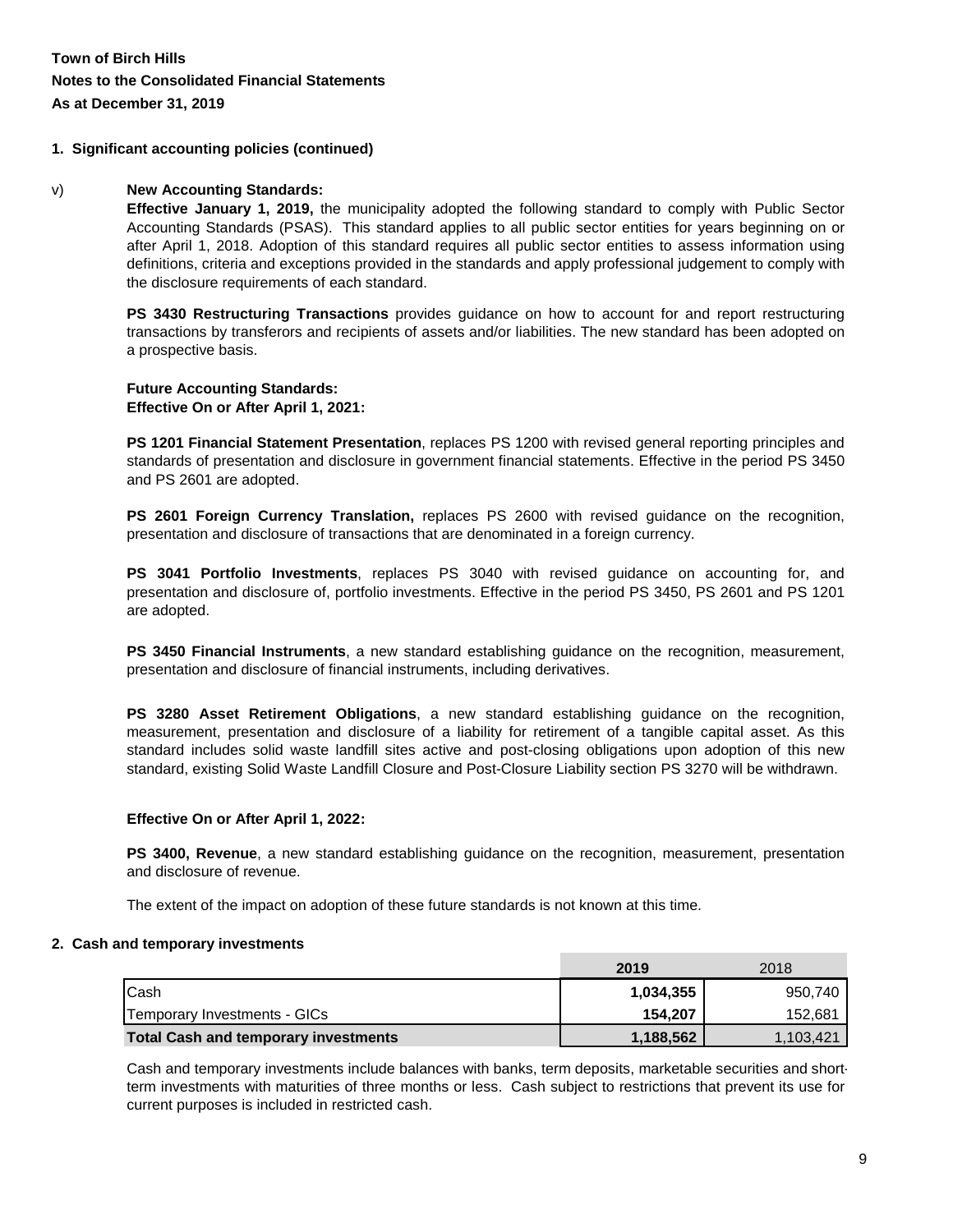### **1. Significant accounting policies (continued)**

### v) **New Accounting Standards:**

**Effective January 1, 2019,** the municipality adopted the following standard to comply with Public Sector Accounting Standards (PSAS). This standard applies to all public sector entities for years beginning on or after April 1, 2018. Adoption of this standard requires all public sector entities to assess information using definitions, criteria and exceptions provided in the standards and apply professional judgement to comply with the disclosure requirements of each standard.

**PS 3430 Restructuring Transactions** provides guidance on how to account for and report restructuring transactions by transferors and recipients of assets and/or liabilities. The new standard has been adopted on a prospective basis.

**Future Accounting Standards: Effective On or After April 1, 2021:**

**PS 1201 Financial Statement Presentation**, replaces PS 1200 with revised general reporting principles and standards of presentation and disclosure in government financial statements. Effective in the period PS 3450 and PS 2601 are adopted.

**PS 2601 Foreign Currency Translation,** replaces PS 2600 with revised guidance on the recognition, presentation and disclosure of transactions that are denominated in a foreign currency.

**PS 3041 Portfolio Investments**, replaces PS 3040 with revised guidance on accounting for, and presentation and disclosure of, portfolio investments. Effective in the period PS 3450, PS 2601 and PS 1201 are adopted.

**PS 3450 Financial Instruments**, a new standard establishing guidance on the recognition, measurement, presentation and disclosure of financial instruments, including derivatives.

**PS 3280 Asset Retirement Obligations**, a new standard establishing guidance on the recognition, measurement, presentation and disclosure of a liability for retirement of a tangible capital asset. As this standard includes solid waste landfill sites active and post-closing obligations upon adoption of this new standard, existing Solid Waste Landfill Closure and Post-Closure Liability section PS 3270 will be withdrawn.

### **Effective On or After April 1, 2022:**

**PS 3400, Revenue**, a new standard establishing guidance on the recognition, measurement, presentation and disclosure of revenue.

The extent of the impact on adoption of these future standards is not known at this time.

### **2. Cash and temporary investments**

|                                      | 2019      | 2018      |
|--------------------------------------|-----------|-----------|
| lCash                                | 1,034,355 | 950.740   |
| <b>Temporary Investments - GICs</b>  | 154.207   | 152,681   |
| Total Cash and temporary investments | 1,188,562 | 1,103,421 |

Cash and temporary investments include balances with banks, term deposits, marketable securities and shortterm investments with maturities of three months or less. Cash subject to restrictions that prevent its use for current purposes is included in restricted cash.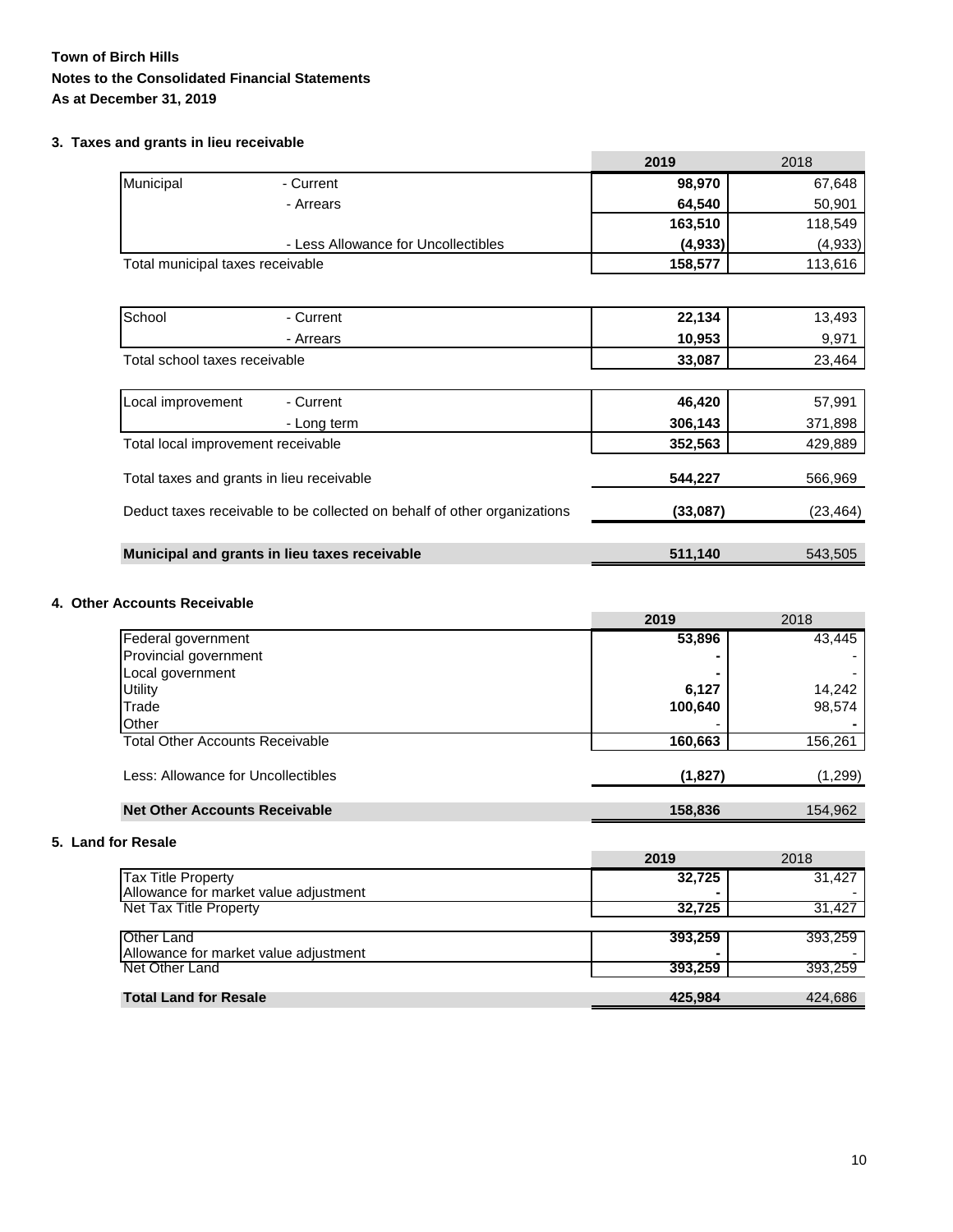### **3. Taxes and grants in lieu receivable**

|                                    |                                                                          | 2019     | 2018      |
|------------------------------------|--------------------------------------------------------------------------|----------|-----------|
| Municipal                          | - Current                                                                | 98,970   | 67,648    |
|                                    | - Arrears                                                                | 64,540   | 50,901    |
|                                    |                                                                          | 163,510  | 118,549   |
|                                    | - Less Allowance for Uncollectibles                                      | (4, 933) | (4, 933)  |
| Total municipal taxes receivable   |                                                                          | 158,577  | 113,616   |
|                                    |                                                                          |          |           |
| School                             | - Current                                                                | 22,134   | 13,493    |
|                                    | - Arrears                                                                | 10,953   | 9,971     |
| Total school taxes receivable      |                                                                          | 33,087   | 23,464    |
|                                    |                                                                          |          |           |
| Local improvement                  | - Current                                                                | 46,420   | 57,991    |
|                                    | - Long term                                                              | 306,143  | 371,898   |
| Total local improvement receivable |                                                                          | 352,563  | 429,889   |
|                                    | Total taxes and grants in lieu receivable                                | 544,227  | 566,969   |
|                                    | Deduct taxes receivable to be collected on behalf of other organizations | (33,087) | (23, 464) |
|                                    | Municipal and grants in lieu taxes receivable                            | 511,140  | 543,505   |

### **4. Other Accounts Receivable**

**5.** Land

|                                        | 2019    | 2018    |
|----------------------------------------|---------|---------|
| Federal government                     | 53,896  | 43,445  |
| Provincial government                  |         |         |
| Local government                       |         |         |
| Utility                                | 6,127   | 14,242  |
| Trade                                  | 100,640 | 98,574  |
| Other                                  |         |         |
| <b>Total Other Accounts Receivable</b> | 160,663 | 156,261 |
| Less: Allowance for Uncollectibles     | (1,827) | (1,299) |
| <b>Net Other Accounts Receivable</b>   | 158,836 | 154,962 |
| for Resale                             |         |         |
|                                        | 2019    | 2018    |
| <b>Tax Title Property</b>              | 32,725  | 31,427  |
| Allowance for market value adjustment  |         |         |
| Net Tax Title Property                 | 32,725  | 31,427  |
| Other Land                             | 393,259 | 393,259 |
| Allowance for market value adjustment  |         |         |

Net Other Land **393,259** 393,259 **Total Land for Resale 424,686 425,984** 425,984 **425,984** 424,686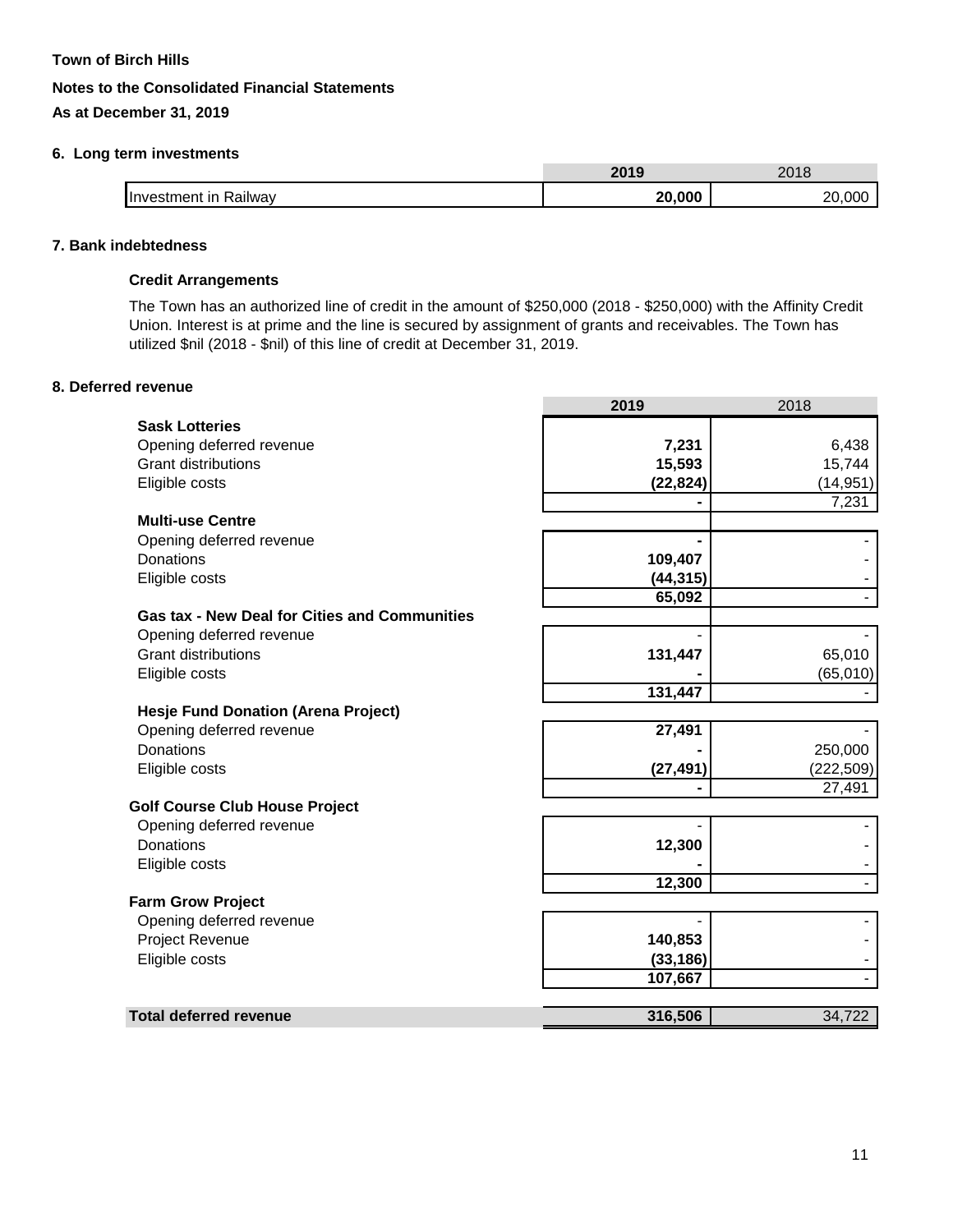### **Town of Birch Hills**

### **Notes to the Consolidated Financial Statements**

**As at December 31, 2019**

### **6. Long term investments**

|               | 0010       | י∩ר<br>$\sqrt{2}$<br>ີ<br>∸∽ |
|---------------|------------|------------------------------|
| linv<br>ılwav | nnn<br>ົາດ | ററ                           |

### **7. Bank indebtedness**

### **Credit Arrangements**

The Town has an authorized line of credit in the amount of \$250,000 (2018 - \$250,000) with the Affinity Credit Union. Interest is at prime and the line is secured by assignment of grants and receivables. The Town has utilized \$nil (2018 - \$nil) of this line of credit at December 31, 2019.

### **8. Deferred revenue**

|                                                      | 2019      | 2018       |
|------------------------------------------------------|-----------|------------|
| <b>Sask Lotteries</b>                                |           |            |
| Opening deferred revenue                             | 7,231     | 6,438      |
| <b>Grant distributions</b>                           | 15,593    | 15,744     |
| Eligible costs                                       | (22, 824) | (14, 951)  |
|                                                      |           | 7,231      |
| <b>Multi-use Centre</b>                              |           |            |
| Opening deferred revenue                             |           |            |
| Donations                                            | 109,407   |            |
| Eligible costs                                       | (44, 315) |            |
|                                                      | 65,092    |            |
| <b>Gas tax - New Deal for Cities and Communities</b> |           |            |
| Opening deferred revenue                             |           |            |
| <b>Grant distributions</b>                           | 131,447   | 65,010     |
| Eligible costs                                       |           | (65, 010)  |
|                                                      | 131,447   |            |
| <b>Hesje Fund Donation (Arena Project)</b>           |           |            |
| Opening deferred revenue                             | 27,491    |            |
| <b>Donations</b>                                     |           | 250,000    |
| Eligible costs                                       | (27, 491) | (222, 509) |
|                                                      |           | 27,491     |
| <b>Golf Course Club House Project</b>                |           |            |
| Opening deferred revenue                             |           |            |
| <b>Donations</b>                                     | 12,300    |            |
| Eligible costs                                       |           |            |
|                                                      | 12,300    |            |
| <b>Farm Grow Project</b>                             |           |            |
| Opening deferred revenue                             |           |            |
| Project Revenue                                      | 140,853   |            |
| Eligible costs                                       | (33, 186) |            |
|                                                      | 107,667   |            |
|                                                      |           |            |
| <b>Total deferred revenue</b>                        | 316,506   | 34,722     |
|                                                      |           |            |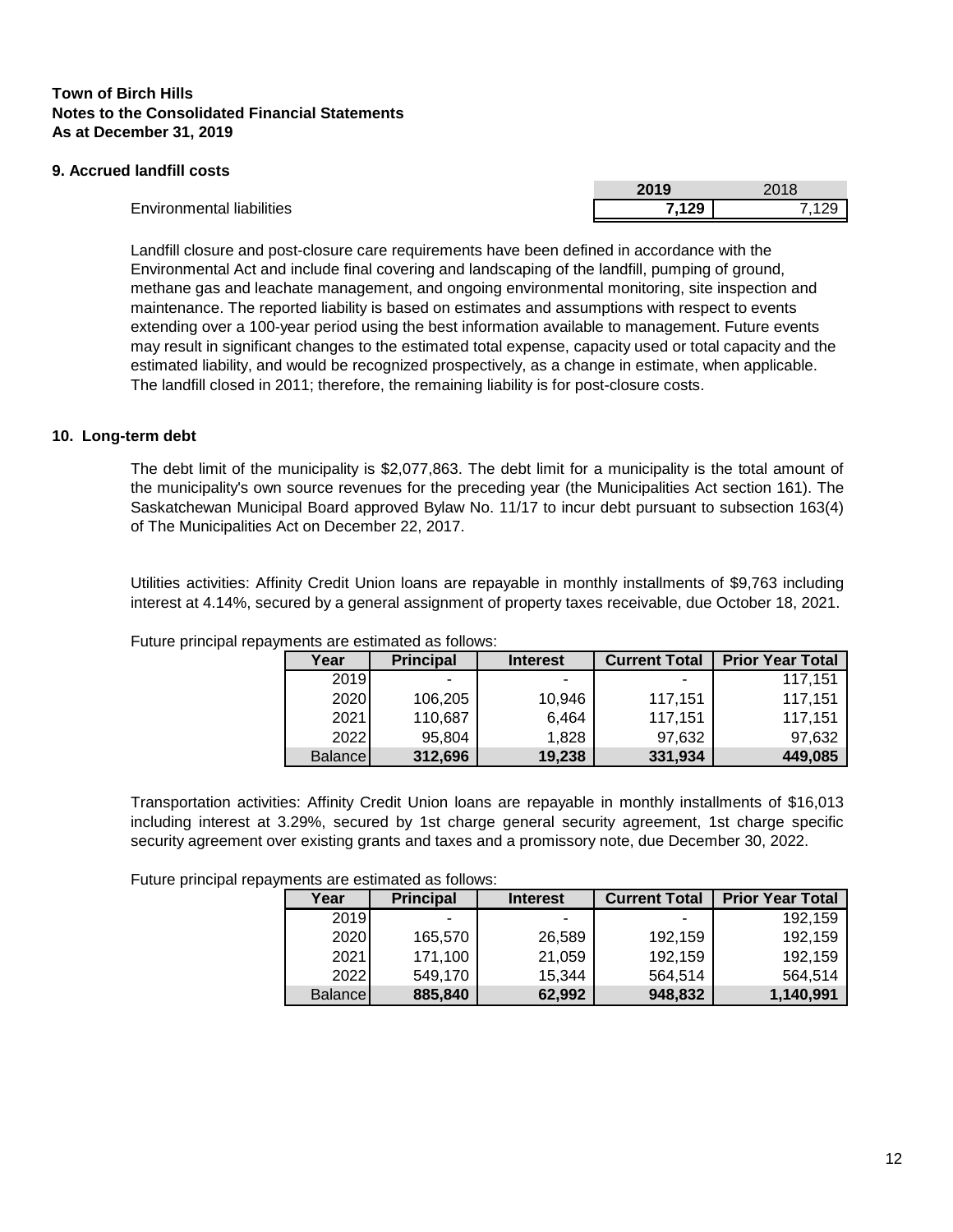### **9. Accrued landfill costs**

|                                  | 2019         | 2018<br>∠∪ ≀∪ |
|----------------------------------|--------------|---------------|
| <b>Environmental liabilities</b> | 120<br>1 L J | 100<br>.      |

Landfill closure and post-closure care requirements have been defined in accordance with the Environmental Act and include final covering and landscaping of the landfill, pumping of ground, methane gas and leachate management, and ongoing environmental monitoring, site inspection and maintenance. The reported liability is based on estimates and assumptions with respect to events extending over a 100-year period using the best information available to management. Future events may result in significant changes to the estimated total expense, capacity used or total capacity and the estimated liability, and would be recognized prospectively, as a change in estimate, when applicable. The landfill closed in 2011; therefore, the remaining liability is for post-closure costs.

### **10. Long-term debt**

The debt limit of the municipality is \$2,077,863. The debt limit for a municipality is the total amount of the municipality's own source revenues for the preceding year (the Municipalities Act section 161). The Saskatchewan Municipal Board approved Bylaw No. 11/17 to incur debt pursuant to subsection 163(4) of The Municipalities Act on December 22, 2017.

Utilities activities: Affinity Credit Union loans are repayable in monthly installments of \$9,763 including interest at 4.14%, secured by a general assignment of property taxes receivable, due October 18, 2021.

| Year           | <b>Principal</b> | <b>Interest</b> | <b>Current Total</b> | <b>Prior Year Total</b> |
|----------------|------------------|-----------------|----------------------|-------------------------|
| 2019           |                  |                 |                      | 117,151                 |
| 2020           | 106,205          | 10,946          | 117.151              | 117,151                 |
| 2021           | 110,687          | 6,464           | 117,151              | 117,151                 |
| 2022           | 95,804           | 1,828           | 97,632               | 97,632                  |
| <b>Balance</b> | 312,696          | 19,238          | 331,934              | 449,085                 |

Future principal repayments are estimated as follows:

Transportation activities: Affinity Credit Union loans are repayable in monthly installments of \$16,013 including interest at 3.29%, secured by 1st charge general security agreement, 1st charge specific security agreement over existing grants and taxes and a promissory note, due December 30, 2022.

Future principal repayments are estimated as follows:

| Year           | <b>Principal</b> | <b>Interest</b> | <b>Current Total</b> | <b>Prior Year Total</b> |
|----------------|------------------|-----------------|----------------------|-------------------------|
| 2019           | ۰                |                 | -                    | 192.159                 |
| 2020           | 165,570          | 26,589          | 192,159              | 192,159                 |
| 2021           | 171,100          | 21,059          | 192,159              | 192,159                 |
| 2022           | 549,170          | 15,344          | 564,514              | 564,514                 |
| <b>Balance</b> | 885,840          | 62,992          | 948,832              | 1,140,991               |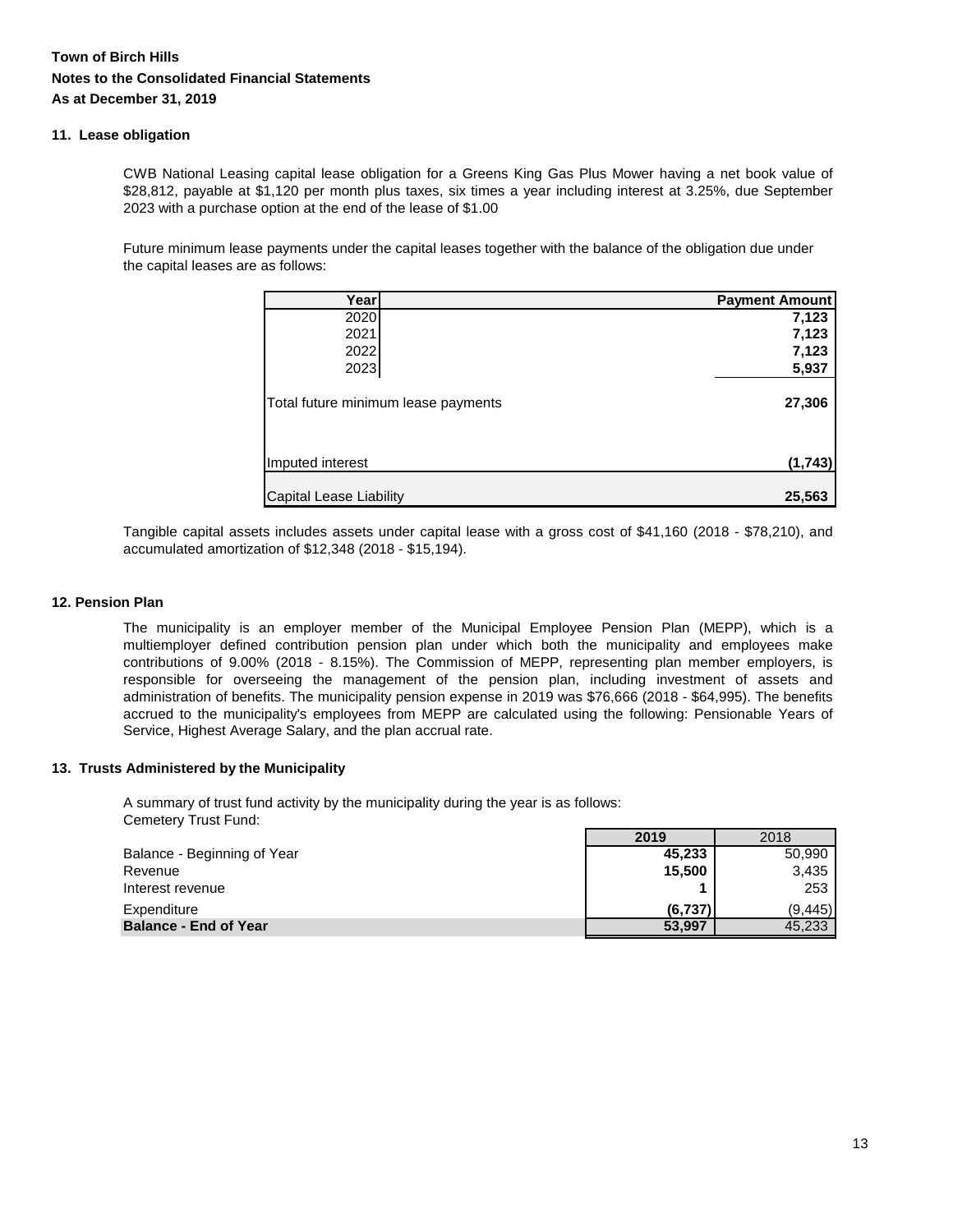### **11. Lease obligation**

CWB National Leasing capital lease obligation for a Greens King Gas Plus Mower having a net book value of \$28,812, payable at \$1,120 per month plus taxes, six times a year including interest at 3.25%, due September 2023 with a purchase option at the end of the lease of \$1.00

Future minimum lease payments under the capital leases together with the balance of the obligation due under the capital leases are as follows:

| Year                    |                                     | <b>Payment Amount</b> |
|-------------------------|-------------------------------------|-----------------------|
| 2020                    |                                     | 7,123                 |
| 2021                    |                                     | 7,123                 |
| 2022                    |                                     | 7,123                 |
| 2023                    |                                     | 5,937                 |
|                         | Total future minimum lease payments | 27,306                |
| Imputed interest        |                                     | (1, 743)              |
| Capital Lease Liability |                                     | 25,563                |

Tangible capital assets includes assets under capital lease with a gross cost of \$41,160 (2018 - \$78,210), and accumulated amortization of \$12,348 (2018 - \$15,194).

### **12. Pension Plan**

The municipality is an employer member of the Municipal Employee Pension Plan (MEPP), which is a multiemployer defined contribution pension plan under which both the municipality and employees make contributions of 9.00% (2018 - 8.15%). The Commission of MEPP, representing plan member employers, is responsible for overseeing the management of the pension plan, including investment of assets and administration of benefits. The municipality pension expense in 2019 was \$76,666 (2018 - \$64,995). The benefits accrued to the municipality's employees from MEPP are calculated using the following: Pensionable Years of Service, Highest Average Salary, and the plan accrual rate.

### **13. Trusts Administered by the Municipality**

A summary of trust fund activity by the municipality during the year is as follows: Cemetery Trust Fund:

|                              | 2019    | 2018     |
|------------------------------|---------|----------|
| Balance - Beginning of Year  | 45,233  | 50,990   |
| Revenue                      | 15.500  | 3,435    |
| Interest revenue             |         | 253      |
| Expenditure                  | (6,737) | (9, 445) |
| <b>Balance - End of Year</b> | 53.997  | 45,233   |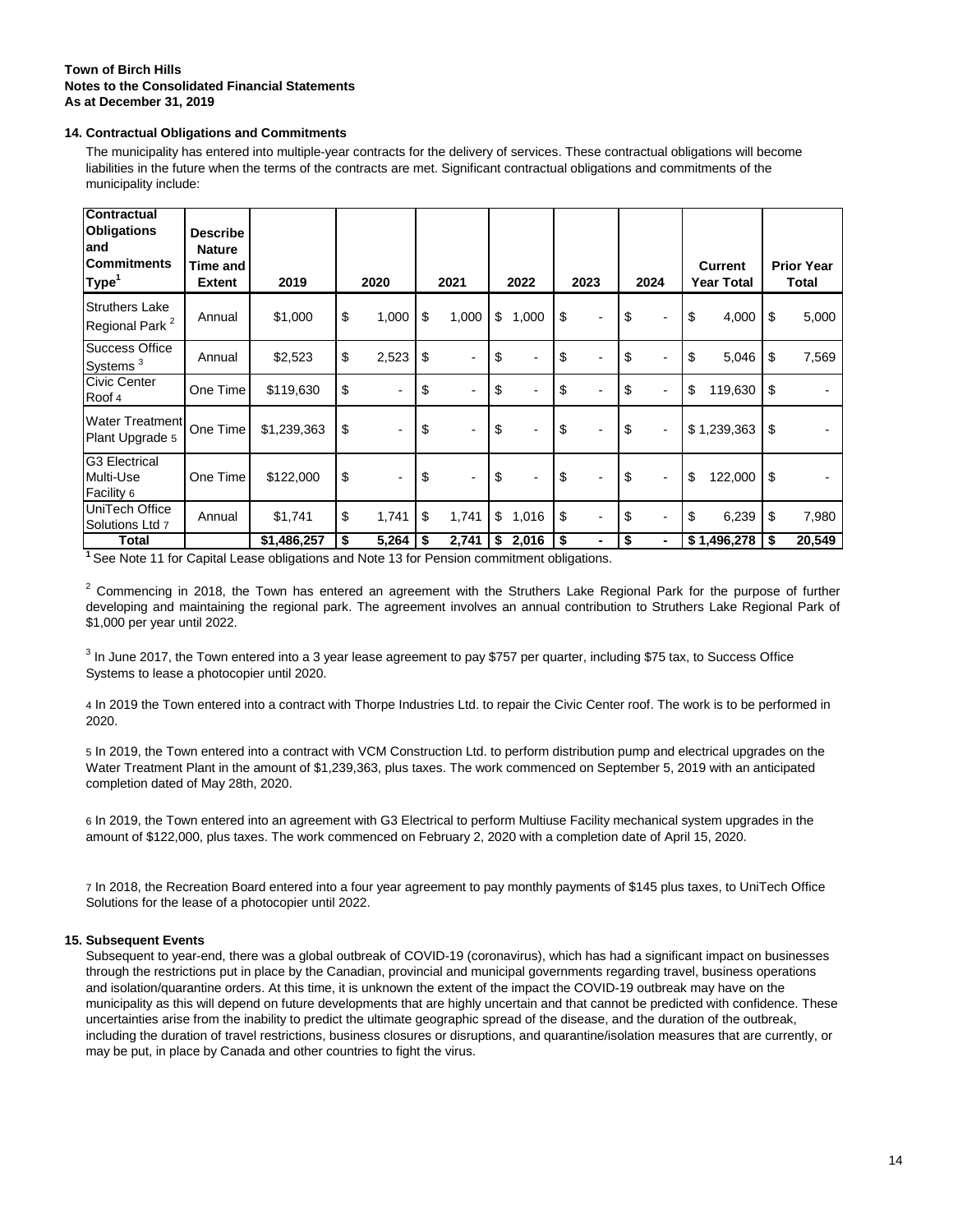### **14. Contractual Obligations and Commitments**

The municipality has entered into multiple-year contracts for the delivery of services. These contractual obligations will become liabilities in the future when the terms of the contracts are met. Significant contractual obligations and commitments of the municipality include:

| <b>Contractual</b><br><b>Obligations</b><br>land<br><b>Commitments</b><br>Type <sup>1</sup> | <b>Describe</b><br><b>Nature</b><br>Time and<br><b>Extent</b> | 2019        | 2020                 | 2021                           |    | 2022                     | 2023 | 2024                           | <b>Current</b><br><b>Year Total</b> | <b>Prior Year</b><br><b>Total</b> |
|---------------------------------------------------------------------------------------------|---------------------------------------------------------------|-------------|----------------------|--------------------------------|----|--------------------------|------|--------------------------------|-------------------------------------|-----------------------------------|
| <b>Struthers Lake</b><br>Regional Park <sup>2</sup>                                         | Annual                                                        | \$1,000     | \$<br>1,000          | \$<br>1,000                    | \$ | 1,000                    | \$   | \$                             | \$<br>4,000                         | \$<br>5,000                       |
| <b>Success Office</b><br>Systems <sup>3</sup>                                               | Annual                                                        | \$2,523     | \$<br>2,523          | \$<br>$\overline{\phantom{a}}$ | \$ | $\overline{\phantom{a}}$ | \$   | \$<br>$\blacksquare$           | \$<br>5,046                         | \$<br>7,569                       |
| <b>Civic Center</b><br>Roof 4                                                               | One Time                                                      | \$119,630   | \$<br>Ĭ.             | \$<br>$\blacksquare$           | \$ | $\overline{\phantom{a}}$ | \$   | \$<br>$\blacksquare$           | \$<br>119,630                       | \$                                |
| <b>Water Treatment</b><br>Plant Upgrade 5                                                   | One Time                                                      | \$1,239,363 | \$                   | \$                             | \$ |                          | \$   | \$<br>$\overline{\phantom{a}}$ | \$1,239,363                         | \$                                |
| <b>G3 Electrical</b><br>Multi-Use<br>Facility 6                                             | One Time                                                      | \$122,000   | \$<br>$\blacksquare$ | \$<br>$\overline{\phantom{a}}$ | \$ | $\overline{\phantom{a}}$ | \$   | \$<br>$\overline{\phantom{a}}$ | \$<br>122,000                       | \$                                |
| UniTech Office<br>Solutions Ltd 7                                                           | Annual                                                        | \$1,741     | \$<br>1,741          | \$<br>1,741                    | \$ | 1,016                    | \$   | \$<br>$\blacksquare$           | \$<br>6,239                         | \$<br>7,980                       |
| Total                                                                                       |                                                               | \$1,486,257 | \$<br>5,264          | \$<br>2,741                    | S. | 2,016                    | \$   | \$                             | \$1,496,278                         | 20,549                            |

**<sup>1</sup>**See Note 11 for Capital Lease obligations and Note 13 for Pension commitment obligations.

 $2$  Commencing in 2018, the Town has entered an agreement with the Struthers Lake Regional Park for the purpose of further developing and maintaining the regional park. The agreement involves an annual contribution to Struthers Lake Regional Park of \$1,000 per year until 2022.

<sup>3</sup> In June 2017, the Town entered into a 3 year lease agreement to pay \$757 per quarter, including \$75 tax, to Success Office Systems to lease a photocopier until 2020.

4 In 2019 the Town entered into a contract with Thorpe Industries Ltd. to repair the Civic Center roof. The work is to be performed in 2020.

5 In 2019, the Town entered into a contract with VCM Construction Ltd. to perform distribution pump and electrical upgrades on the Water Treatment Plant in the amount of \$1,239,363, plus taxes. The work commenced on September 5, 2019 with an anticipated completion dated of May 28th, 2020.

6 In 2019, the Town entered into an agreement with G3 Electrical to perform Multiuse Facility mechanical system upgrades in the amount of \$122,000, plus taxes. The work commenced on February 2, 2020 with a completion date of April 15, 2020.

7 In 2018, the Recreation Board entered into a four year agreement to pay monthly payments of \$145 plus taxes, to UniTech Office Solutions for the lease of a photocopier until 2022.

### **15. Subsequent Events**

Subsequent to year-end, there was a global outbreak of COVID-19 (coronavirus), which has had a significant impact on businesses through the restrictions put in place by the Canadian, provincial and municipal governments regarding travel, business operations and isolation/quarantine orders. At this time, it is unknown the extent of the impact the COVID-19 outbreak may have on the municipality as this will depend on future developments that are highly uncertain and that cannot be predicted with confidence. These uncertainties arise from the inability to predict the ultimate geographic spread of the disease, and the duration of the outbreak, including the duration of travel restrictions, business closures or disruptions, and quarantine/isolation measures that are currently, or may be put, in place by Canada and other countries to fight the virus.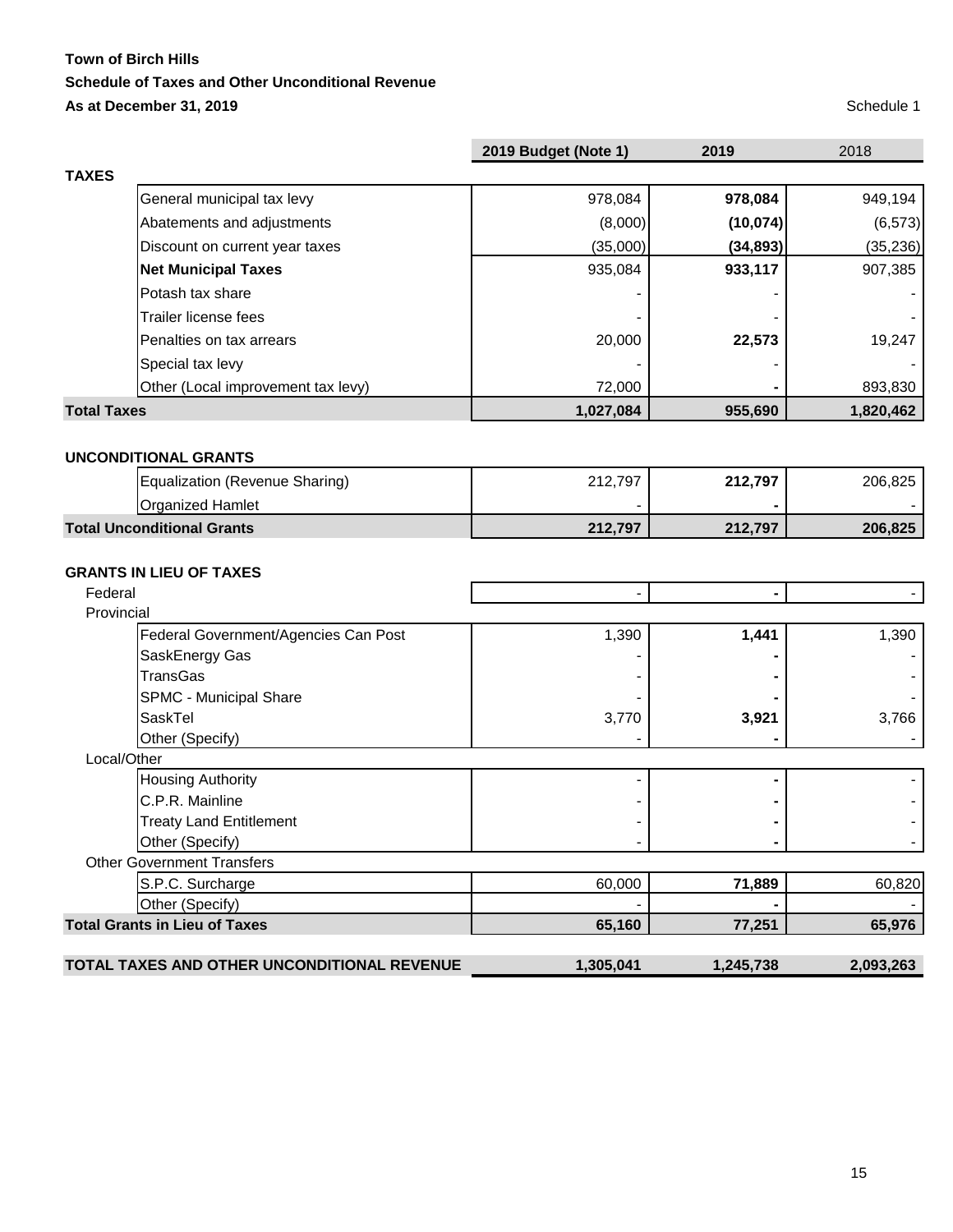### **Town of Birch Hills Schedule of Taxes and Other Unconditional Revenue As at December 31, 2019** Schedule 1

|                                             | 2019 Budget (Note 1)     | 2019      | 2018           |
|---------------------------------------------|--------------------------|-----------|----------------|
| <b>TAXES</b>                                |                          |           |                |
| General municipal tax levy                  | 978,084                  | 978,084   | 949,194        |
| Abatements and adjustments                  | (8,000)                  | (10,074)  | (6, 573)       |
| Discount on current year taxes              | (35,000)                 | (34, 893) | (35, 236)      |
| <b>Net Municipal Taxes</b>                  | 935,084                  | 933,117   | 907,385        |
| Potash tax share                            |                          |           |                |
| Trailer license fees                        |                          |           |                |
| Penalties on tax arrears                    | 20,000                   | 22,573    | 19,247         |
| Special tax levy                            |                          |           |                |
| Other (Local improvement tax levy)          | 72,000                   |           | 893,830        |
| <b>Total Taxes</b>                          | 1,027,084                | 955,690   | 1,820,462      |
|                                             |                          |           |                |
| <b>UNCONDITIONAL GRANTS</b>                 |                          |           |                |
| Equalization (Revenue Sharing)              | 212,797                  | 212,797   | 206,825        |
| <b>Organized Hamlet</b>                     |                          |           |                |
| <b>Total Unconditional Grants</b>           | 212,797                  | 212,797   | 206,825        |
|                                             |                          |           |                |
| <b>GRANTS IN LIEU OF TAXES</b>              |                          |           |                |
| Federal                                     |                          |           |                |
| Provincial                                  |                          |           |                |
| Federal Government/Agencies Can Post        | 1,390                    | 1,441     | 1,390          |
| SaskEnergy Gas                              |                          |           |                |
| <b>TransGas</b>                             |                          |           |                |
| <b>SPMC - Municipal Share</b>               |                          |           |                |
| SaskTel                                     | 3,770                    | 3,921     | 3,766          |
| Other (Specify)<br>Local/Other              |                          |           |                |
| <b>Housing Authority</b>                    |                          |           |                |
| C.P.R. Mainline                             |                          |           |                |
| <b>Treaty Land Entitlement</b>              |                          |           |                |
| Other (Specify)                             | $\overline{\phantom{0}}$ | Ξ.        | $\blacksquare$ |
| <b>Other Government Transfers</b>           |                          |           |                |
| S.P.C. Surcharge                            | 60,000                   | 71,889    | 60,820         |
| Other (Specify)                             |                          |           |                |
| <b>Total Grants in Lieu of Taxes</b>        | 65,160                   | 77,251    | 65,976         |
| TOTAL TAXES AND OTHER UNCONDITIONAL REVENUE | 1,305,041                | 1,245,738 | 2,093,263      |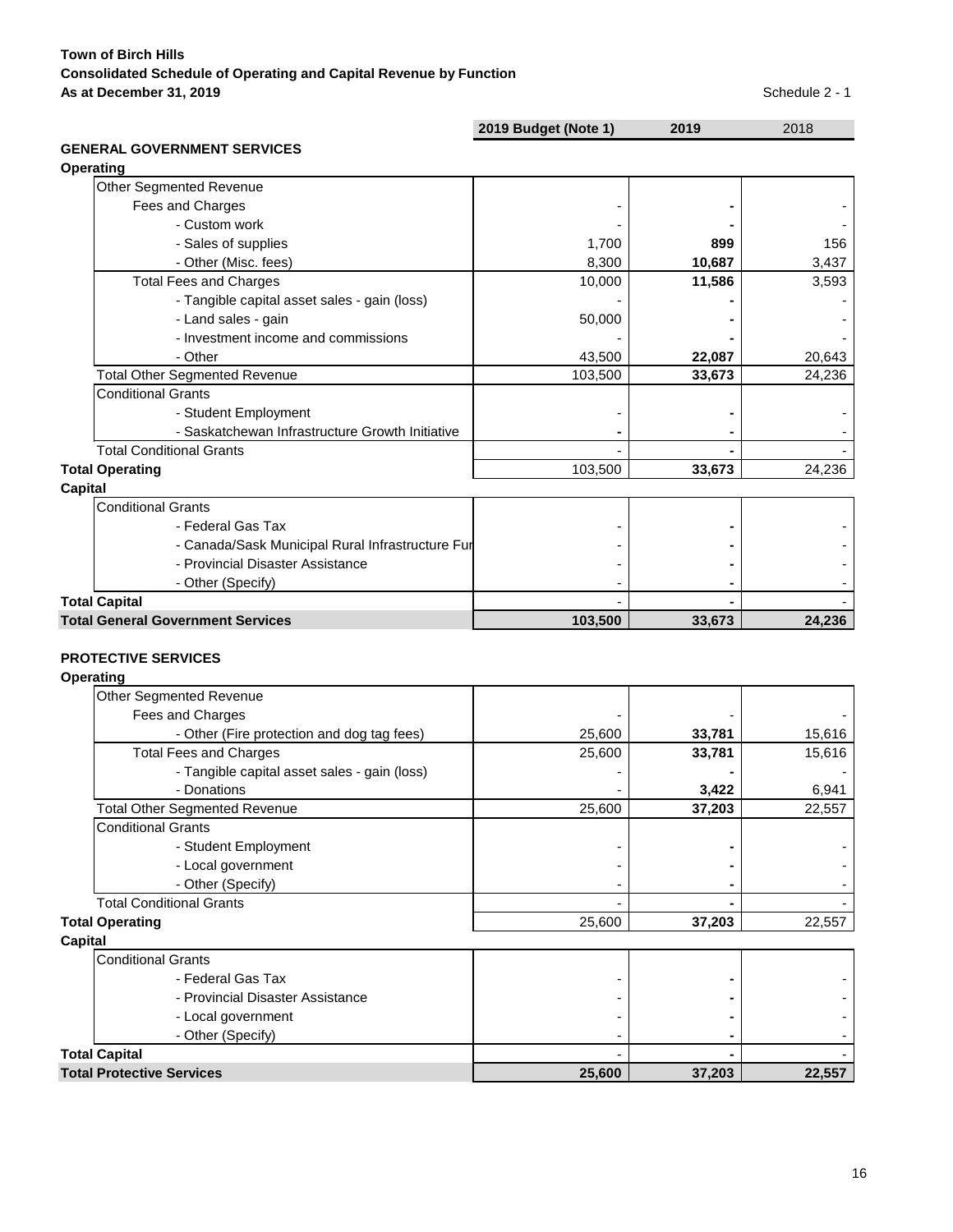### **Town of Birch Hills Consolidated Schedule of Operating and Capital Revenue by Function As at December 31, 2019** Schedule 2 - 1

|                                                  | 2019 Budget (Note 1) | 2019   | 2018   |
|--------------------------------------------------|----------------------|--------|--------|
| <b>GENERAL GOVERNMENT SERVICES</b>               |                      |        |        |
| Operating                                        |                      |        |        |
| Other Segmented Revenue                          |                      |        |        |
| Fees and Charges                                 |                      |        |        |
| - Custom work                                    |                      |        |        |
| - Sales of supplies                              | 1,700                | 899    | 156    |
| - Other (Misc. fees)                             | 8,300                | 10,687 | 3,437  |
| <b>Total Fees and Charges</b>                    | 10,000               | 11,586 | 3,593  |
| - Tangible capital asset sales - gain (loss)     |                      |        |        |
| - Land sales - gain                              | 50,000               |        |        |
| - Investment income and commissions              |                      |        |        |
| - Other                                          | 43,500               | 22,087 | 20,643 |
| <b>Total Other Segmented Revenue</b>             | 103,500              | 33,673 | 24,236 |
| <b>Conditional Grants</b>                        |                      |        |        |
| - Student Employment                             |                      |        |        |
| - Saskatchewan Infrastructure Growth Initiative  |                      |        |        |
| <b>Total Conditional Grants</b>                  |                      |        |        |
| <b>Total Operating</b>                           | 103,500              | 33,673 | 24,236 |
| <b>Capital</b>                                   |                      |        |        |
| <b>Conditional Grants</b>                        |                      |        |        |
| - Federal Gas Tax                                |                      |        |        |
| - Canada/Sask Municipal Rural Infrastructure Fur |                      |        |        |
| - Provincial Disaster Assistance                 |                      |        |        |
| - Other (Specify)                                |                      |        |        |
| <b>Total Capital</b>                             |                      |        |        |
| <b>Total General Government Services</b>         | 103,500              | 33,673 | 24,236 |
|                                                  |                      |        |        |
| <b>PROTECTIVE SERVICES</b>                       |                      |        |        |
|                                                  |                      |        |        |
| <b>Operating</b>                                 |                      |        |        |
| <b>Other Segmented Revenue</b>                   |                      |        |        |
| Fees and Charges                                 |                      |        |        |
| - Other (Fire protection and dog tag fees)       | 25,600               | 33,781 | 15,616 |
| <b>Total Fees and Charges</b>                    | 25,600               | 33,781 | 15,616 |
| - Tangible capital asset sales - gain (loss)     |                      |        |        |
| - Donations                                      |                      | 3,422  | 6,941  |
| <b>Total Other Segmented Revenue</b>             | 25,600               | 37,203 | 22,557 |
| <b>Conditional Grants</b>                        |                      |        |        |
| - Student Employment                             |                      |        |        |
| - Local government                               |                      |        |        |
| - Other (Specify)                                |                      |        |        |
| <b>Total Conditional Grants</b>                  |                      |        |        |
| <b>Total Operating</b>                           | 25,600               | 37,203 | 22,557 |
| <b>Capital</b>                                   |                      |        |        |
| <b>Conditional Grants</b>                        |                      |        |        |
| - Federal Gas Tax                                |                      |        |        |
| - Provincial Disaster Assistance                 |                      |        |        |
| - Local government                               |                      |        |        |
|                                                  |                      |        |        |
| - Other (Specify)<br><b>Total Capital</b>        |                      |        |        |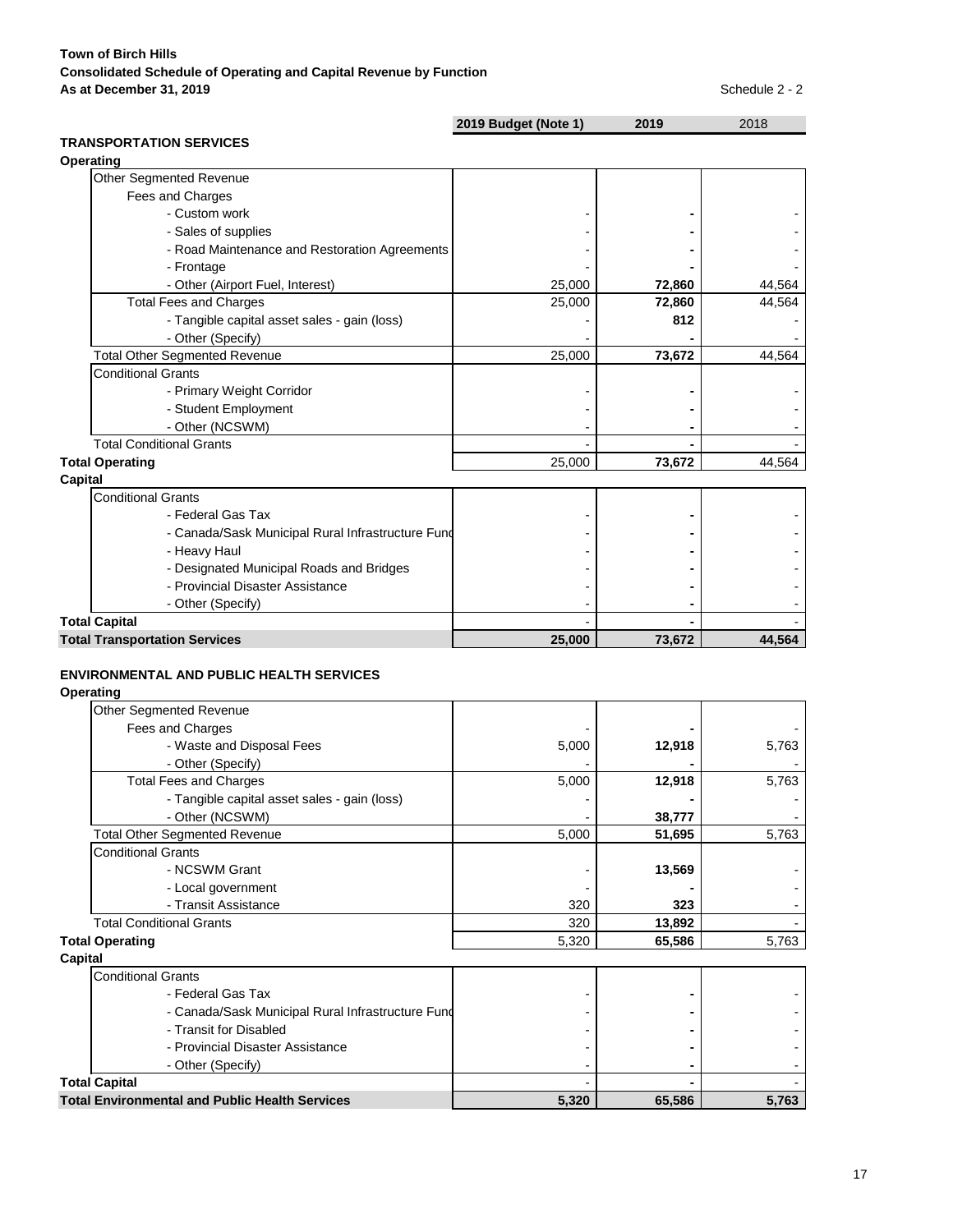### **Town of Birch Hills Consolidated Schedule of Operating and Capital Revenue by Function As at December 31, 2019** Schedule 2 - 2

|                                | 2019 Budget (Note 1) | 2019 | 2018 |
|--------------------------------|----------------------|------|------|
| <b>TRANSPORTATION SERVICES</b> |                      |      |      |
| <b>Operating</b>               |                      |      |      |
| .<br>_<br>$-$                  |                      |      |      |

| Other Segmented Revenue                           |        |        |        |
|---------------------------------------------------|--------|--------|--------|
| Fees and Charges                                  |        |        |        |
| - Custom work                                     |        |        |        |
| - Sales of supplies                               |        |        |        |
| - Road Maintenance and Restoration Agreements     |        |        |        |
| - Frontage                                        |        |        |        |
| - Other (Airport Fuel, Interest)                  | 25,000 | 72,860 | 44,564 |
| <b>Total Fees and Charges</b>                     | 25,000 | 72,860 | 44,564 |
| - Tangible capital asset sales - gain (loss)      |        | 812    |        |
| - Other (Specify)                                 |        |        |        |
| <b>Total Other Segmented Revenue</b>              | 25,000 | 73,672 | 44,564 |
| <b>Conditional Grants</b>                         |        |        |        |
| - Primary Weight Corridor                         |        |        |        |
| - Student Employment                              |        |        |        |
| - Other (NCSWM)                                   |        |        |        |
| <b>Total Conditional Grants</b>                   |        |        |        |
| <b>Total Operating</b>                            | 25,000 | 73,672 | 44,564 |
| Capital                                           |        |        |        |
| <b>Conditional Grants</b>                         |        |        |        |
| - Federal Gas Tax                                 |        |        |        |
| - Canada/Sask Municipal Rural Infrastructure Fund |        |        |        |
| - Heavy Haul                                      |        |        |        |
| - Designated Municipal Roads and Bridges          |        |        |        |

**Total Capital -**  $\qquad \qquad$  -

**Total Transportation Services 25,000 73,672 44,564**

### **ENVIRONMENTAL AND PUBLIC HEALTH SERVICES**

- Other (Specify)

- Provincial Disaster Assistance - **-** -

| 'beratınd |
|-----------|
|           |

| <b>Total Environmental and Public Health Services</b> | 5,320 | 65,586 | 5,763 |
|-------------------------------------------------------|-------|--------|-------|
| <b>Total Capital</b>                                  |       |        |       |
| - Other (Specify)                                     |       |        |       |
| - Provincial Disaster Assistance                      |       |        |       |
| - Transit for Disabled                                |       |        |       |
| - Canada/Sask Municipal Rural Infrastructure Fund     |       |        |       |
| - Federal Gas Tax                                     |       |        |       |
| <b>Conditional Grants</b>                             |       |        |       |
| Capital                                               |       |        |       |
| <b>Total Operating</b>                                | 5,320 | 65,586 | 5,763 |
| <b>Total Conditional Grants</b>                       | 320   | 13,892 |       |
| - Transit Assistance                                  | 320   | 323    |       |
| - Local government                                    |       |        |       |
| - NCSWM Grant                                         |       | 13,569 |       |
| <b>Conditional Grants</b>                             |       |        |       |
| <b>Total Other Segmented Revenue</b>                  | 5,000 | 51,695 | 5,763 |
| - Other (NCSWM)                                       |       | 38,777 |       |
| - Tangible capital asset sales - gain (loss)          |       |        |       |
| <b>Total Fees and Charges</b>                         | 5,000 | 12,918 | 5,763 |
| - Other (Specify)                                     |       |        |       |
| - Waste and Disposal Fees                             | 5,000 | 12,918 | 5,763 |
| Fees and Charges                                      |       |        |       |
| Other Segmented Revenue                               |       |        |       |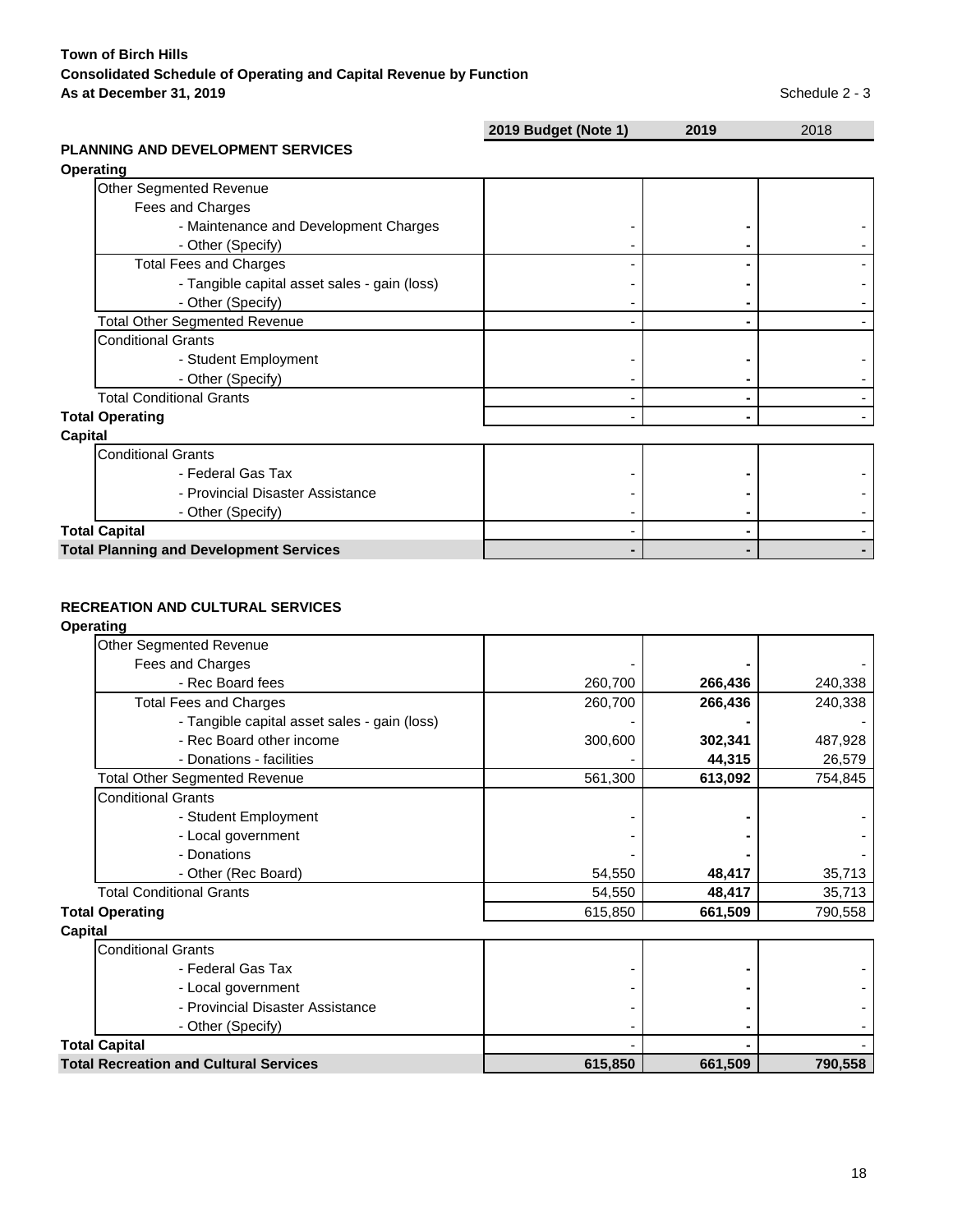|                                                | 2019 Budget (Note 1) | 2019 | 2018 |
|------------------------------------------------|----------------------|------|------|
| PLANNING AND DEVELOPMENT SERVICES              |                      |      |      |
| Operating                                      |                      |      |      |
| Other Segmented Revenue                        |                      |      |      |
| Fees and Charges                               |                      |      |      |
| - Maintenance and Development Charges          |                      |      |      |
| - Other (Specify)                              |                      |      |      |
| <b>Total Fees and Charges</b>                  |                      |      |      |
| - Tangible capital asset sales - gain (loss)   |                      |      |      |
| - Other (Specify)                              |                      |      |      |
| <b>Total Other Segmented Revenue</b>           |                      |      |      |
| <b>Conditional Grants</b>                      |                      |      |      |
| - Student Employment                           |                      |      |      |
| - Other (Specify)                              |                      |      |      |
| <b>Total Conditional Grants</b>                |                      |      |      |
| <b>Total Operating</b>                         |                      |      |      |
| Capital                                        |                      |      |      |
| <b>Conditional Grants</b>                      |                      |      |      |
| - Federal Gas Tax                              |                      |      |      |
| - Provincial Disaster Assistance               |                      |      |      |
| - Other (Specify)                              |                      |      |      |
| <b>Total Capital</b>                           |                      |      |      |
| <b>Total Planning and Development Services</b> |                      |      |      |

### **RECREATION AND CULTURAL SERVICES**

**Operating**

| Other Segmented Revenue                       |         |         |         |
|-----------------------------------------------|---------|---------|---------|
| Fees and Charges                              |         |         |         |
| - Rec Board fees                              | 260,700 | 266,436 | 240,338 |
| <b>Total Fees and Charges</b>                 | 260,700 | 266,436 | 240,338 |
| - Tangible capital asset sales - gain (loss)  |         |         |         |
| - Rec Board other income                      | 300,600 | 302,341 | 487,928 |
| - Donations - facilities                      |         | 44,315  | 26,579  |
| <b>Total Other Segmented Revenue</b>          | 561,300 | 613,092 | 754,845 |
| <b>Conditional Grants</b>                     |         |         |         |
| - Student Employment                          |         |         |         |
| - Local government                            |         |         |         |
| - Donations                                   |         |         |         |
| - Other (Rec Board)                           | 54,550  | 48,417  | 35,713  |
| <b>Total Conditional Grants</b>               | 54,550  | 48,417  | 35,713  |
| <b>Total Operating</b>                        | 615,850 | 661,509 | 790,558 |
| Capital                                       |         |         |         |
| <b>Conditional Grants</b>                     |         |         |         |
| - Federal Gas Tax                             |         |         |         |
| - Local government                            |         |         |         |
| - Provincial Disaster Assistance              |         |         |         |
| - Other (Specify)                             |         |         |         |
| <b>Total Capital</b>                          |         |         |         |
| <b>Total Recreation and Cultural Services</b> | 615,850 | 661,509 | 790,558 |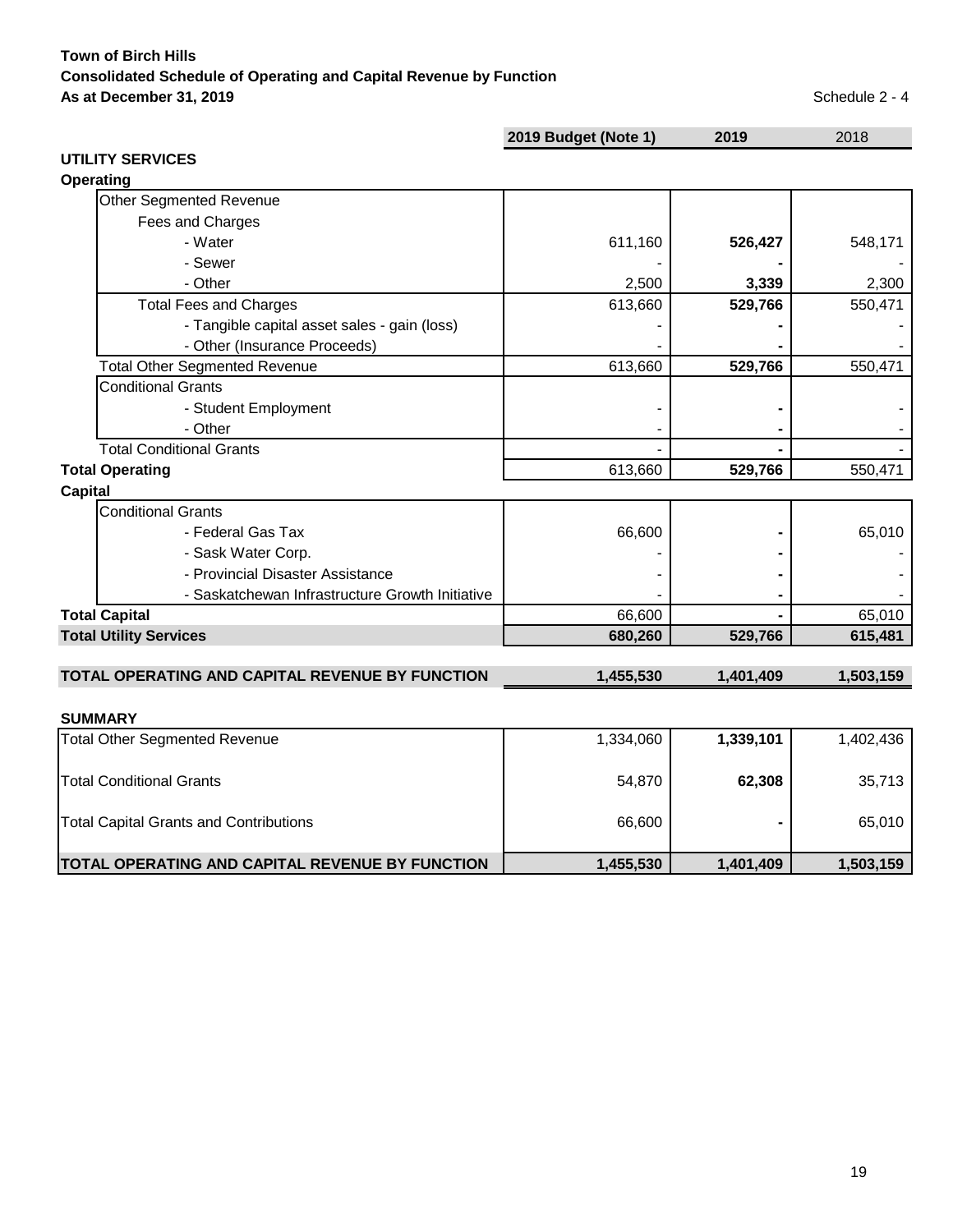|                                                 | 2019 Budget (Note 1) | 2019      | 2018      |
|-------------------------------------------------|----------------------|-----------|-----------|
| <b>UTILITY SERVICES</b>                         |                      |           |           |
| <b>Operating</b>                                |                      |           |           |
| Other Segmented Revenue                         |                      |           |           |
| Fees and Charges                                |                      |           |           |
| - Water                                         | 611,160              | 526,427   | 548,171   |
| - Sewer                                         |                      |           |           |
| - Other                                         | 2,500                | 3,339     | 2,300     |
| <b>Total Fees and Charges</b>                   | 613,660              | 529,766   | 550,471   |
| - Tangible capital asset sales - gain (loss)    |                      |           |           |
| - Other (Insurance Proceeds)                    |                      |           |           |
| <b>Total Other Segmented Revenue</b>            | 613,660              | 529,766   | 550,471   |
| <b>Conditional Grants</b>                       |                      |           |           |
| - Student Employment                            |                      |           |           |
| - Other                                         |                      |           |           |
| <b>Total Conditional Grants</b>                 |                      |           |           |
| <b>Total Operating</b>                          | 613,660              | 529,766   | 550,471   |
| <b>Capital</b>                                  |                      |           |           |
| <b>Conditional Grants</b>                       |                      |           |           |
| - Federal Gas Tax                               | 66,600               |           | 65,010    |
| - Sask Water Corp.                              |                      |           |           |
| - Provincial Disaster Assistance                |                      |           |           |
| - Saskatchewan Infrastructure Growth Initiative |                      |           |           |
| <b>Total Capital</b>                            | 66,600               |           | 65,010    |
| <b>Total Utility Services</b>                   | 680,260              | 529,766   | 615,481   |
|                                                 |                      |           |           |
| TOTAL OPERATING AND CAPITAL REVENUE BY FUNCTION | 1,455,530            | 1,401,409 | 1,503,159 |
| <b>SUMMARY</b>                                  |                      |           |           |
| <b>Total Other Segmented Revenue</b>            | 1,334,060            | 1,339,101 | 1,402,436 |
| <b>Total Conditional Grants</b>                 | 54,870               | 62,308    | 35,713    |
| <b>Total Capital Grants and Contributions</b>   | 66,600               |           | 65,010    |

**TOTAL OPERATING AND CAPITAL REVENUE BY FUNCTION 1,455,530 1,401,409 1,503,159**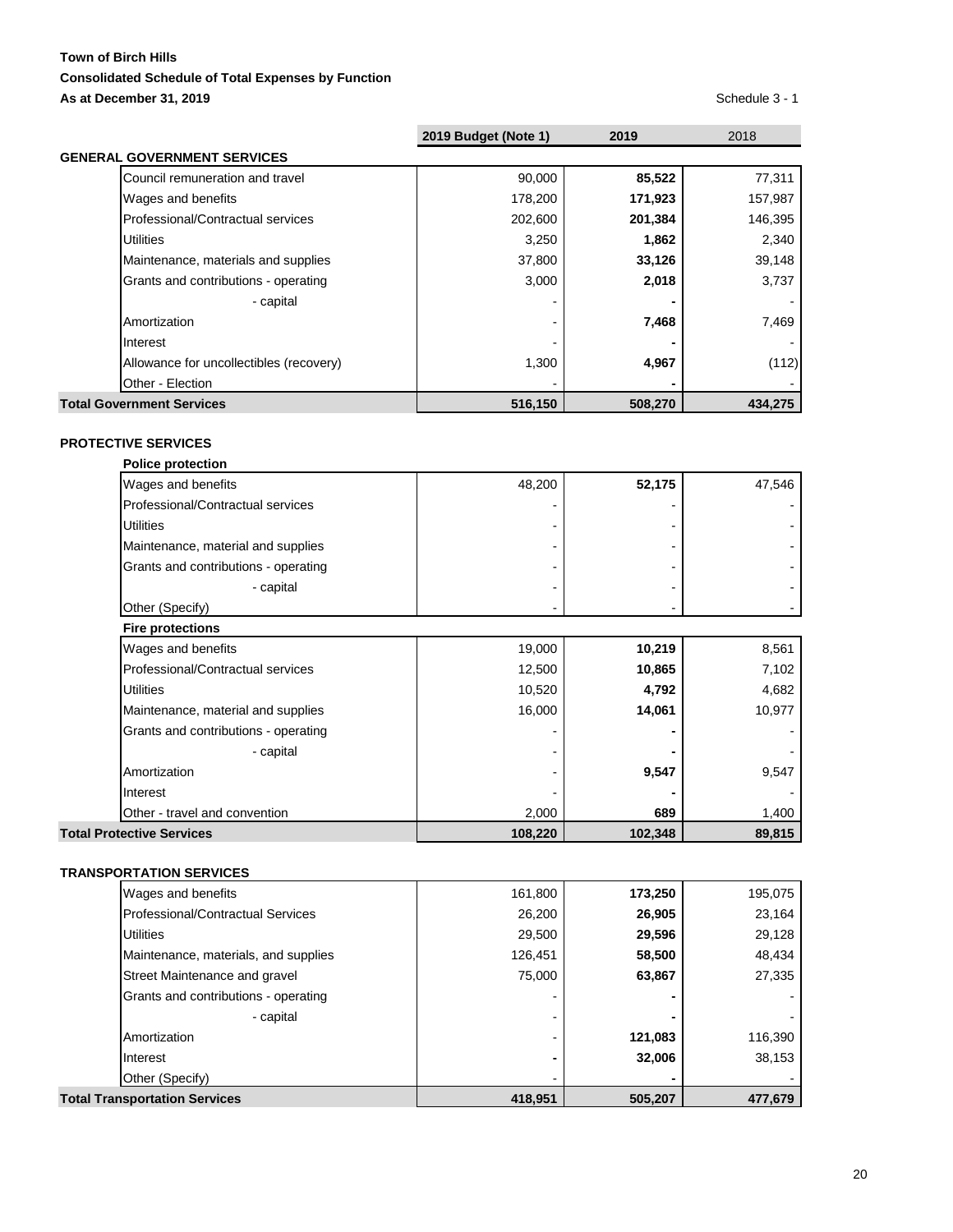### **Town of Birch Hills**

### **Consolidated Schedule of Total Expenses by Function**

**As at December 31, 2019** Schedule 3 - 1

|                                         | 2019 Budget (Note 1) | 2019    | 2018    |
|-----------------------------------------|----------------------|---------|---------|
| <b>GENERAL GOVERNMENT SERVICES</b>      |                      |         |         |
| Council remuneration and travel         | 90,000               | 85,522  | 77,311  |
| Wages and benefits                      | 178,200              | 171,923 | 157,987 |
| Professional/Contractual services       | 202,600              | 201,384 | 146,395 |
| <b>Utilities</b>                        | 3,250                | 1,862   | 2,340   |
| Maintenance, materials and supplies     | 37,800               | 33,126  | 39,148  |
| Grants and contributions - operating    | 3,000                | 2,018   | 3,737   |
| - capital                               |                      |         |         |
| Amortization                            |                      | 7,468   | 7,469   |
| Interest                                |                      |         |         |
| Allowance for uncollectibles (recovery) | 1,300                | 4,967   | (112)   |
| Other - Election                        |                      |         |         |
| <b>Total Government Services</b>        | 516,150              | 508,270 | 434,275 |

### **PROTECTIVE SERVICES**

| <b>Police protection</b>             |         |         |        |
|--------------------------------------|---------|---------|--------|
| Wages and benefits                   | 48,200  | 52,175  | 47,546 |
| Professional/Contractual services    |         |         |        |
| <b>Utilities</b>                     |         |         |        |
| Maintenance, material and supplies   |         |         |        |
| Grants and contributions - operating |         |         |        |
| - capital                            |         |         |        |
| Other (Specify)                      |         |         |        |
| <b>Fire protections</b>              |         |         |        |
| Wages and benefits                   | 19,000  | 10,219  | 8,561  |
| Professional/Contractual services    | 12,500  | 10,865  | 7,102  |
| <b>Utilities</b>                     | 10,520  | 4,792   | 4,682  |
| Maintenance, material and supplies   | 16,000  | 14,061  | 10,977 |
| Grants and contributions - operating |         |         |        |
| - capital                            |         |         |        |
| Amortization                         |         | 9,547   | 9,547  |
| Interest                             |         |         |        |
| Other - travel and convention        | 2,000   | 689     | 1,400  |
| <b>Total Protective Services</b>     | 108,220 | 102,348 | 89,815 |

### **TRANSPORTATION SERVICES**

| <b>Total Transportation Services</b>     | 418.951 | 505,207 | 477.679 |
|------------------------------------------|---------|---------|---------|
| Other (Specify)                          |         |         |         |
| Interest                                 |         | 32,006  | 38,153  |
| Amortization                             |         | 121,083 | 116,390 |
| - capital                                |         |         |         |
| Grants and contributions - operating     |         |         |         |
| Street Maintenance and gravel            | 75,000  | 63,867  | 27,335  |
| Maintenance, materials, and supplies     | 126,451 | 58,500  | 48,434  |
| <b>Utilities</b>                         | 29,500  | 29,596  | 29,128  |
| <b>Professional/Contractual Services</b> | 26,200  | 26,905  | 23,164  |
| Wages and benefits                       | 161,800 | 173,250 | 195,075 |
|                                          |         |         |         |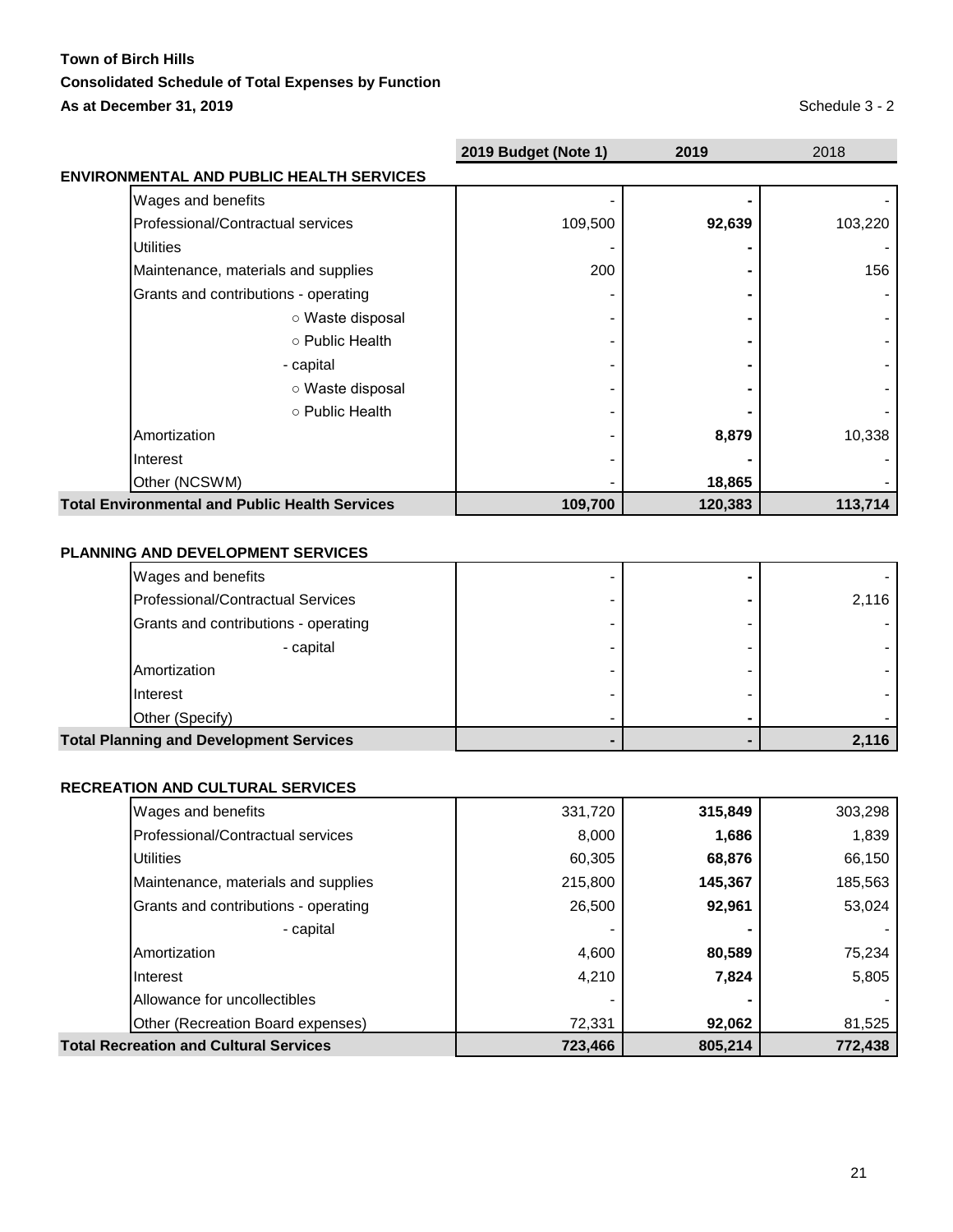### **Town of Birch Hills Consolidated Schedule of Total Expenses by Function As at December 31, 2019** Schedule 3 - 2

|                                                       | 2019 Budget (Note 1) | 2019    | 2018    |
|-------------------------------------------------------|----------------------|---------|---------|
| <b>ENVIRONMENTAL AND PUBLIC HEALTH SERVICES</b>       |                      |         |         |
| Wages and benefits                                    |                      |         |         |
| Professional/Contractual services                     | 109,500              | 92,639  | 103,220 |
| <b>Utilities</b>                                      |                      |         |         |
| Maintenance, materials and supplies                   | 200                  |         | 156     |
| Grants and contributions - operating                  |                      |         |         |
| ○ Waste disposal                                      |                      |         |         |
| ○ Public Health                                       |                      |         |         |
| - capital                                             |                      |         |         |
| o Waste disposal                                      |                      |         |         |
| ○ Public Health                                       |                      |         |         |
| Amortization                                          |                      | 8,879   | 10,338  |
| Interest                                              |                      |         |         |
| Other (NCSWM)                                         |                      | 18,865  |         |
| <b>Total Environmental and Public Health Services</b> | 109,700              | 120,383 | 113,714 |

### **PLANNING AND DEVELOPMENT SERVICES**

| <b>Total Planning and Development Services</b> |  | 2,116 |
|------------------------------------------------|--|-------|
| Other (Specify)                                |  |       |
| Interest                                       |  |       |
| Amortization                                   |  |       |
| - capital                                      |  |       |
| Grants and contributions - operating           |  |       |
| Professional/Contractual Services              |  | 2,116 |
| Wages and benefits                             |  |       |
|                                                |  |       |

### **RECREATION AND CULTURAL SERVICES**

| <b>Total Recreation and Cultural Services</b> | 723,466 | 805,214 | 772,438 |
|-----------------------------------------------|---------|---------|---------|
| Other (Recreation Board expenses)             | 72,331  | 92,062  | 81,525  |
| Allowance for uncollectibles                  |         |         |         |
| Interest                                      | 4.210   | 7,824   | 5,805   |
| Amortization                                  | 4,600   | 80,589  | 75,234  |
| - capital                                     |         |         |         |
| Grants and contributions - operating          | 26,500  | 92,961  | 53,024  |
| Maintenance, materials and supplies           | 215,800 | 145,367 | 185,563 |
| <b>Utilities</b>                              | 60.305  | 68,876  | 66,150  |
| Professional/Contractual services             | 8.000   | 1,686   | 1,839   |
| Wages and benefits                            | 331,720 | 315,849 | 303,298 |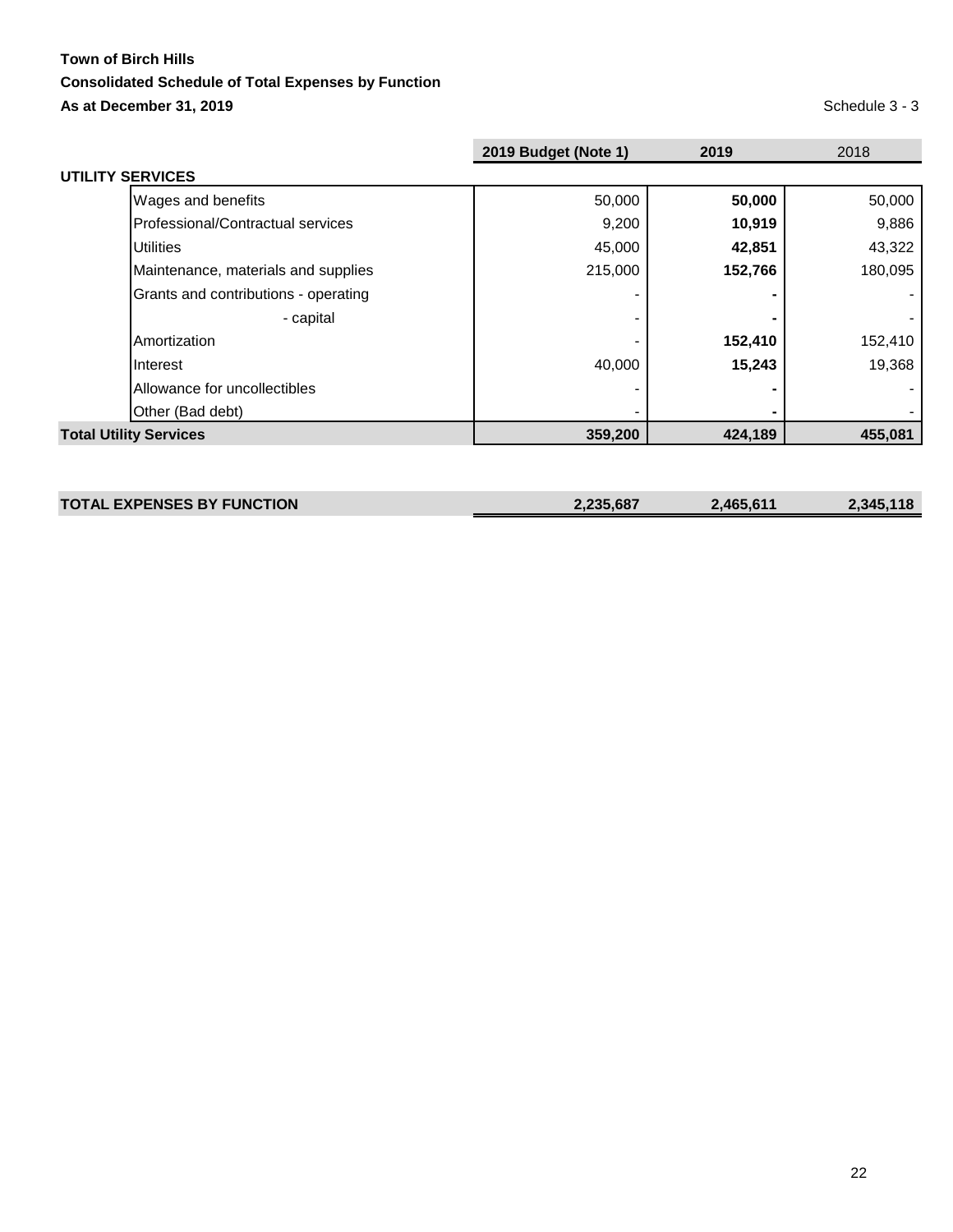### **Town of Birch Hills Consolidated Schedule of Total Expenses by Function As at December 31, 2019** Schedule 3 - 3

|                                      | 2019 Budget (Note 1) | 2019    | 2018    |
|--------------------------------------|----------------------|---------|---------|
| <b>UTILITY SERVICES</b>              |                      |         |         |
| Wages and benefits                   | 50,000               | 50,000  | 50,000  |
| Professional/Contractual services    | 9,200                | 10,919  | 9,886   |
| <b>Utilities</b>                     | 45,000               | 42,851  | 43,322  |
| Maintenance, materials and supplies  | 215,000              | 152,766 | 180,095 |
| Grants and contributions - operating |                      |         |         |
| - capital                            | -                    |         |         |
| Amortization                         |                      | 152,410 | 152,410 |
| Interest                             | 40,000               | 15,243  | 19,368  |
| Allowance for uncollectibles         |                      |         |         |
| Other (Bad debt)                     |                      |         |         |
| <b>Total Utility Services</b>        | 359,200              | 424,189 | 455,081 |

| <b>TOTAL EXPENSES BY FUNCTION</b> | 2.235.687 | 2.465.611 | 2.345.118 |
|-----------------------------------|-----------|-----------|-----------|
|                                   |           |           |           |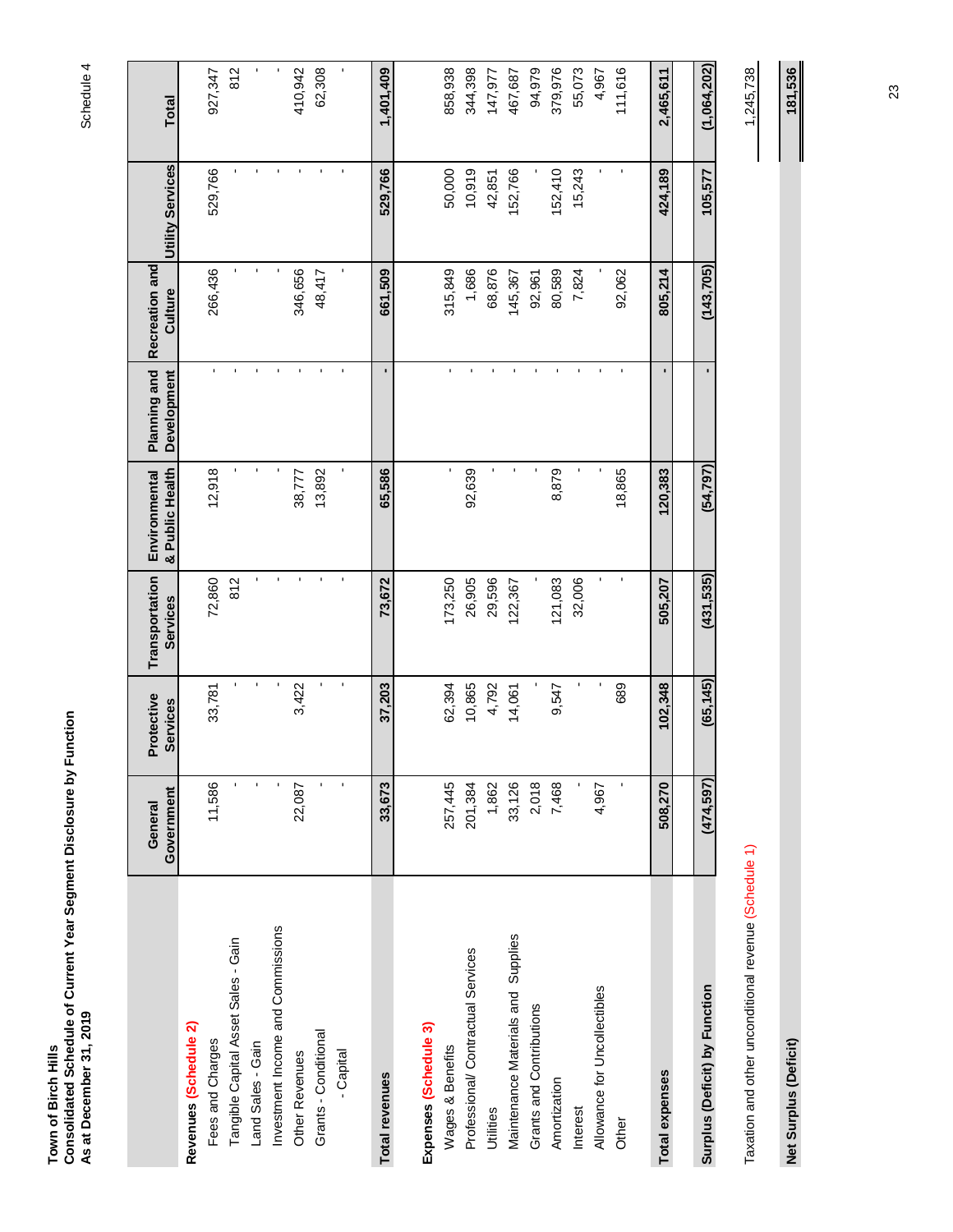| Town of Birch Hills | Consolidated Schedule of Current Year Segment Disclosure | As at December 31, 2019 |
|---------------------|----------------------------------------------------------|-------------------------|

| ٢<br>Ľ                                                                                                         |
|----------------------------------------------------------------------------------------------------------------|
|                                                                                                                |
|                                                                                                                |
| and the state of the state of the state of the state of the state of the state of the state of the state of th |
|                                                                                                                |
|                                                                                                                |
|                                                                                                                |

|                                     | Government<br>General | Protective<br>Services | Transportation<br>Services | & Public Health<br>Environmental | Planning and<br><b>Development</b> | Recreation and<br>Culture | Utility Services | <b>Total</b> |
|-------------------------------------|-----------------------|------------------------|----------------------------|----------------------------------|------------------------------------|---------------------------|------------------|--------------|
| Revenues (Schedule 2)               |                       |                        |                            |                                  |                                    |                           |                  |              |
| Fees and Charges                    | 11,586                | 33,781                 | 72,860                     | 12,918                           |                                    | 266,436                   | 529,766          | 927,347      |
| Tangible Capital Asset Sales - Gain | í.                    |                        | 812                        |                                  |                                    |                           |                  | 812          |
| Land Sales - Gain                   | $\blacksquare$        | f,                     | $\mathbf{I}$               |                                  | $\blacksquare$                     | f,                        | $\overline{1}$   |              |
| Investment Income and Commissions   | $\blacksquare$        |                        | ı                          |                                  |                                    |                           |                  |              |
| Other Revenues                      | 22,087                | 3,422                  | ï                          | 38,777                           |                                    | 346,656                   |                  | 410,942      |
| Grants - Conditional                | ï                     | f,                     | í.                         | 13,892                           | f.                                 | 48,417                    | $\mathbf{I}$     | 62,308       |
| - Capital                           |                       | ı                      | ı                          |                                  |                                    |                           |                  |              |
|                                     |                       |                        |                            |                                  |                                    |                           |                  |              |
| Total revenues                      | 33,673                | 37,203                 | 73,672                     | 65,586                           | ı                                  | 661,509                   | 529,766          | 1,401,409    |
| Expenses (Schedule 3)               |                       |                        |                            |                                  |                                    |                           |                  |              |
|                                     |                       |                        |                            |                                  |                                    |                           |                  |              |
| Wages & Benefits                    | 257,445               | 62,394                 | 173,250                    | ı                                | ï                                  | 315,849                   | 50,000           | 858,938      |
| Professional/ Contractual Services  | 201,384               | 10,865                 | 26,905                     | 92,639                           |                                    | 1,686                     | 10,919           | 344,398      |
| Utilities                           | 1,862                 | 4,792                  | 29,596                     |                                  | $\mathbf{I}$                       | 68,876                    | 42,851           | 147,977      |
| Maintenance Materials and Supplies  | 33,126                | 14,061                 | 122,367                    |                                  |                                    | 145,367                   | 152,766          | 467,687      |
| Grants and Contributions            | 2,018                 |                        |                            |                                  |                                    | 92,961                    |                  | 94,979       |
| Amortization                        | 7,468                 | 9,547                  | 121,083                    | 8,879                            | $\blacksquare$                     | 80,589                    | 152,410          | 379,976      |
| Interest                            | ł                     |                        | 32,006                     |                                  |                                    | 7,824                     | 15,243           | 55,073       |
| Allowance for Uncollectibles        | 4,967                 |                        | ı                          |                                  |                                    |                           | ï                | 4,967        |
| Other                               | ı                     | 689                    |                            | 18,865                           |                                    | 92,062                    |                  | 111,616      |
|                                     |                       |                        |                            |                                  |                                    |                           |                  |              |
| <b>Total expenses</b>               | 508,270               | 102,348                | 505,207                    | 120,383                          |                                    | 805,214                   | 424,189          | 2,465,611    |
|                                     |                       |                        |                            |                                  |                                    |                           |                  |              |
| Surplus (Deficit) by Function       | (474, 597)            | (65, 145)              | (431, 535)                 | (54, 797)                        | ı                                  | (143, 705)                | 105,577          | (1,064,202)  |
|                                     |                       |                        |                            |                                  |                                    |                           |                  |              |

Taxation and other unconditional revenue (Schedule 1) 1,245,738 Taxation and other unconditional revenue (Schedule 1)

Net Surplus (Deficit)

**Net Surplus (Deficit) 181,536**

181,536

1,245,738

 $\overline{\phantom{a}}$ 

23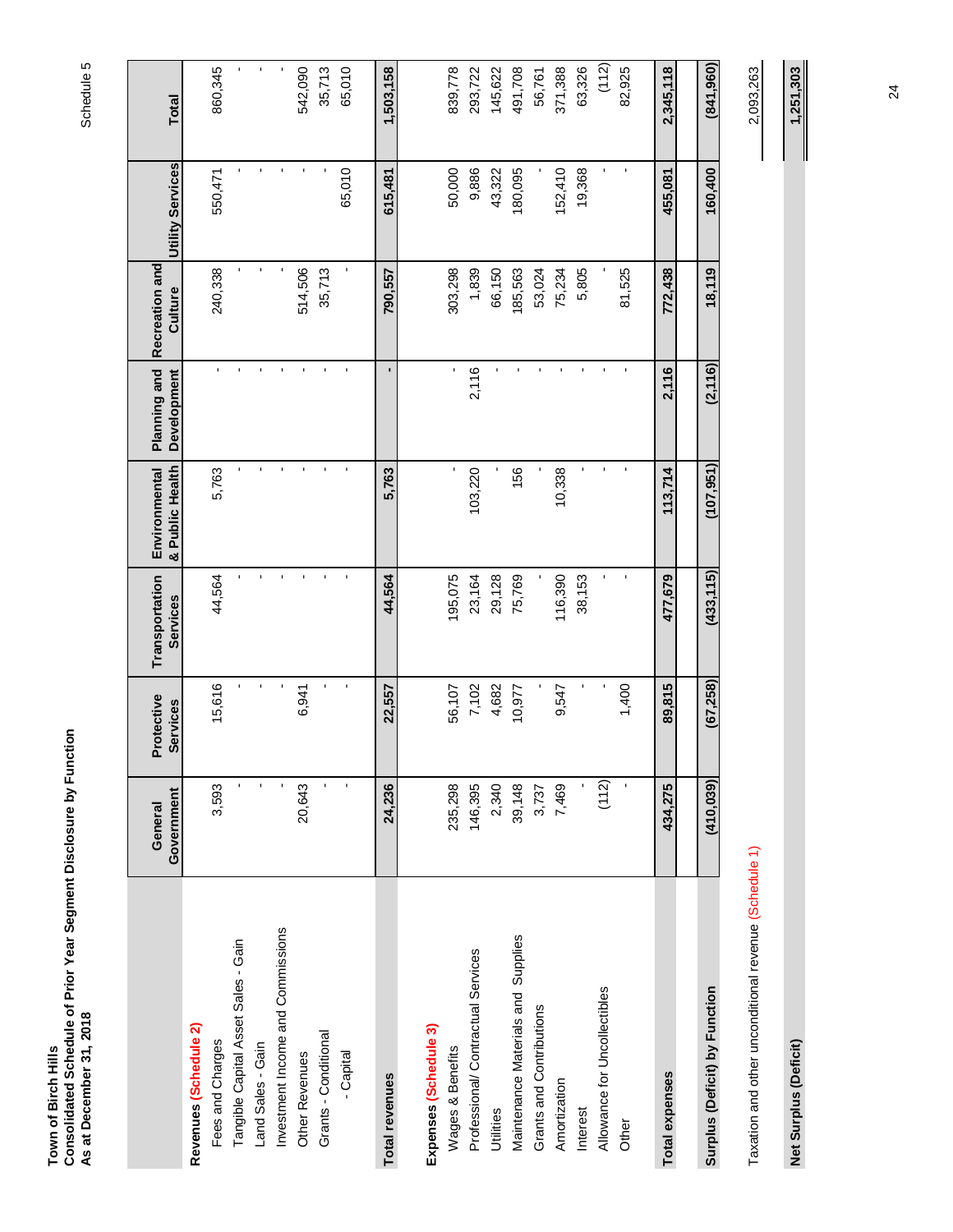| Ĩ. |
|----|
| u. |
|    |
|    |
|    |
|    |
| í  |
|    |
|    |

|                                     | Government<br>General | Protective<br>Services | Transportation<br>Services | & Public Health<br>Environmental | Planning and<br>Development | Recreation and<br>Culture | Utility Services | <b>Total</b> |
|-------------------------------------|-----------------------|------------------------|----------------------------|----------------------------------|-----------------------------|---------------------------|------------------|--------------|
| Revenues (Schedule 2)               |                       |                        |                            |                                  |                             |                           |                  |              |
| Fees and Charges                    | 3,593                 | 15,616                 | 44,564                     | 5,763                            |                             | 240,338                   | 550,471          | 860,345      |
| Tangible Capital Asset Sales - Gain | $\mathbf{r}$          |                        |                            |                                  |                             |                           |                  |              |
| Land Sales - Gain                   |                       | ı                      |                            | $\overline{1}$                   | $\blacksquare$              |                           | f,               |              |
| Investment Income and Commissions   |                       |                        | ï                          | ï                                |                             |                           | $\blacksquare$   |              |
| Other Revenues                      | 20,643                | 6,941                  |                            | ï                                |                             | 514,506                   | $\blacksquare$   | 542,090      |
| Grants - Conditional                | $\mathbf{I}$          |                        | $\blacksquare$             |                                  | ï                           | 35,713                    |                  | 35,713       |
| - Capital                           |                       | ı                      | ı                          | ï                                |                             | ı                         | 65,010           | 65,010       |
|                                     |                       |                        |                            |                                  |                             |                           |                  |              |
| <b>Total revenues</b>               | 24,236                | 22,557                 | 44,564                     | 5,763                            | п                           | 790,557                   | 615,481          | 1,503,158    |
| Expenses (Schedule 3)               |                       |                        |                            |                                  |                             |                           |                  |              |
|                                     |                       |                        |                            |                                  |                             |                           |                  |              |
| Wages & Benefits                    | 235,298               | 56,107                 | 195,075                    |                                  |                             | 303,298                   | 50,000           | 839,778      |
| Professional/ Contractual Services  | 146,395               | 7,102                  | 23,164                     | 103,220                          | 2,116                       | 1,839                     | 9,886            | 293,722      |
| Utilities                           | 2,340                 | 4,682                  | 29,128                     |                                  |                             | 66,150                    | 43,322           | 145,622      |
| Maintenance Materials and Supplies  | 39,148                | 10,977                 | 75,769                     | 156                              |                             | 185,563                   | 180,095          | 491,708      |
| Grants and Contributions            | 3,737                 |                        |                            |                                  |                             | 53,024                    |                  | 56,761       |
| Amortization                        | 7,469                 | 9,547                  | 116,390                    | 10,338                           |                             | 75,234                    | 152,410          | 371,388      |
| Interest                            | ł                     |                        | 38,153                     | ï                                | ï                           | 5,805                     | 19,368           | 63,326       |
| Allowance for Uncollectibles        | (112)                 |                        |                            | $\mathbf{r}$                     |                             |                           |                  | (112)        |
| Other                               |                       | 1,400                  |                            | ï                                |                             | 81,525                    | ı                | 82,925       |
|                                     |                       |                        |                            |                                  |                             |                           |                  |              |
| <b>Total expenses</b>               | 434,275               | 89,815                 | 477.679                    | 113,714                          | 2,116                       | 772,438                   | 455,081          | 2,345,118    |
|                                     |                       |                        |                            |                                  |                             |                           |                  |              |
| Surplus (Deficit) by Function       | (410, 039)            | (67, 258)              | (433, 115)                 | (107, 951)                       | (2, 116)                    | 18,119                    | 160,400          | (841, 960)   |
|                                     |                       |                        |                            |                                  |                             |                           |                  |              |

Taxation and other unconditional revenue (Schedule 1)  $\overline{\phantom{a}}$  2,093,263 Taxation and other unconditional revenue (Schedule 1)

Net Surplus (Deficit)

 $1,251,303$ **Net Surplus (Deficit) 1,251,303**

2,093,263

24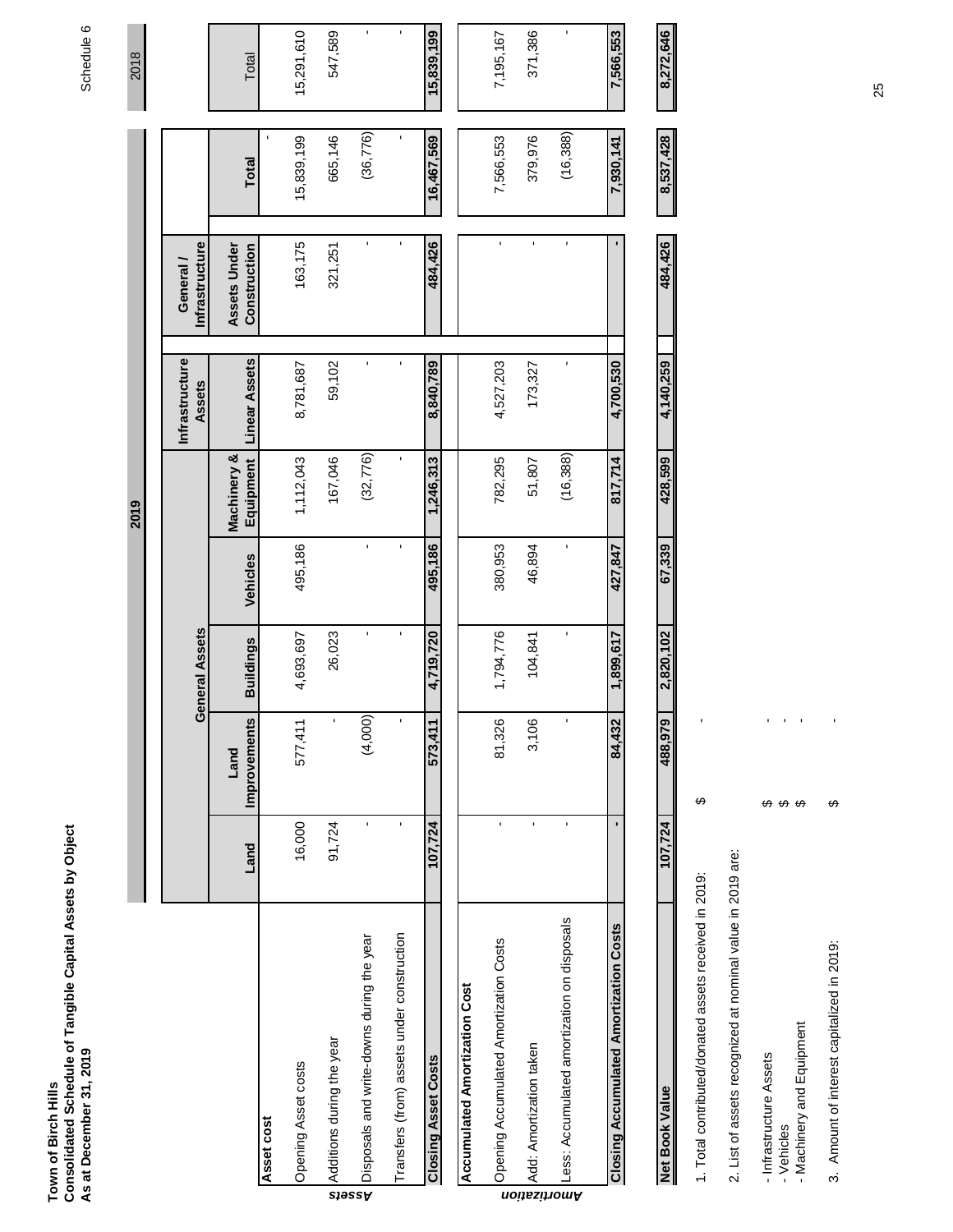# **As at December 31, 2019** Schedule 6 Town of Birch Hills<br>Consolidated Schedule of Tangible Capital Assets by Object<br>As at December 31, 2019 **Consolidated Schedule of Tangible Capital Assets by Object Town of Birch Hills**

Schedule 6

|              |                                               |         |                                 |                  |          | 2019                     |                                 |                                     |            | 2018         |
|--------------|-----------------------------------------------|---------|---------------------------------|------------------|----------|--------------------------|---------------------------------|-------------------------------------|------------|--------------|
|              |                                               |         |                                 |                  |          |                          |                                 |                                     |            |              |
|              |                                               |         |                                 | General Assets   |          |                          | <b>Infrastructure</b><br>Assets | Infrastructure<br>General           |            |              |
|              |                                               | Land    | <b>ທ</b><br>Improvement<br>Land | <b>Buildings</b> | Vehicles | Machinery &<br>Equipment | <b>Linear Assets</b>            | <b>Assets Under</b><br>Construction | Total      | Total        |
|              | Asset cost                                    |         |                                 |                  |          |                          |                                 |                                     | ı          |              |
|              | Opening Asset costs                           | 16,000  | 577,41                          | 4,693,697        | 495,186  | 1,112,043                | 8,781,687                       | 163,175                             | 15,839,199 | 15,291,610   |
|              | Additions during the year                     | 91,724  | f,                              | 26,023           |          | 167,046                  | 59,102                          | 321,251                             | 665,146    | 547,589      |
| Assets       | Disposals and write-downs during the year     | í.      | (4,000)                         | í.               | í.       | (32, 776)                | ı                               | í.                                  | (36,776)   | ı            |
|              | Transfers (from) assets under construction    | ï       | ı                               | ï                | ï        | ı                        | ı                               | ı                                   |            | ı            |
|              | <b>Closing Asset Costs</b>                    | 107.724 | 573,41                          | 4,719,720        | 495,186  | 1,246,313                | 8,840,789                       | 484,426                             | 16,467,569 | 15,839,199   |
|              | <b>Accumulated Amortization Cost</b>          |         |                                 |                  |          |                          |                                 |                                     |            |              |
|              | Opening Accumulated Amortization Costs        | ï       | 81,326                          | 1,794,776        | 380,953  | 782,295                  | 4,527,203                       |                                     | 7,566,553  | 7,195,167    |
|              | Add: Amortization taken                       | ï       | 3,106                           | 104,841          | 46,894   | 51,807                   | 173,327                         |                                     | 379,976    | 371,386      |
| Amortization | Less: Accumulated amortization on disposals   | ı       | ı                               |                  | ı        | (16, 388)                |                                 |                                     | (16,388)   | $\mathbf{I}$ |
|              | <b>Closing Accumulated Amortization Costs</b> |         | $\mathbf{N}$<br>84,432          | 1,899,617        | 427,847  | 817,714                  | 4,700,530                       |                                     | 7,930,141  | 7,566,553    |

| k Value<br><b>Alet</b>                           | I,              | 188,975 |  |  |  |  |
|--------------------------------------------------|-----------------|---------|--|--|--|--|
| nated assets received in<br>å<br>trinitari<br>İ. | 2013.<br>ċ<br>S | A<br>€  |  |  |  |  |

2. List of assets recognized at nominal value in 2019 are:

| 2. List of assets recognized at nominal value in 2019 are: |   |  |
|------------------------------------------------------------|---|--|
| - Infrastructure Assets                                    |   |  |
| - Vehicles                                                 |   |  |
| - Machinery and Equipment                                  |   |  |
| 3. Amount of interest capitalized in 2019:                 | ക |  |

 $\hat{\mathbf{r}} = \hat{\mathbf{r}} - \hat{\mathbf{r}}$ 

3. Amount of interest capitalized in 2019: - \$

 $\bar{1}$ 

25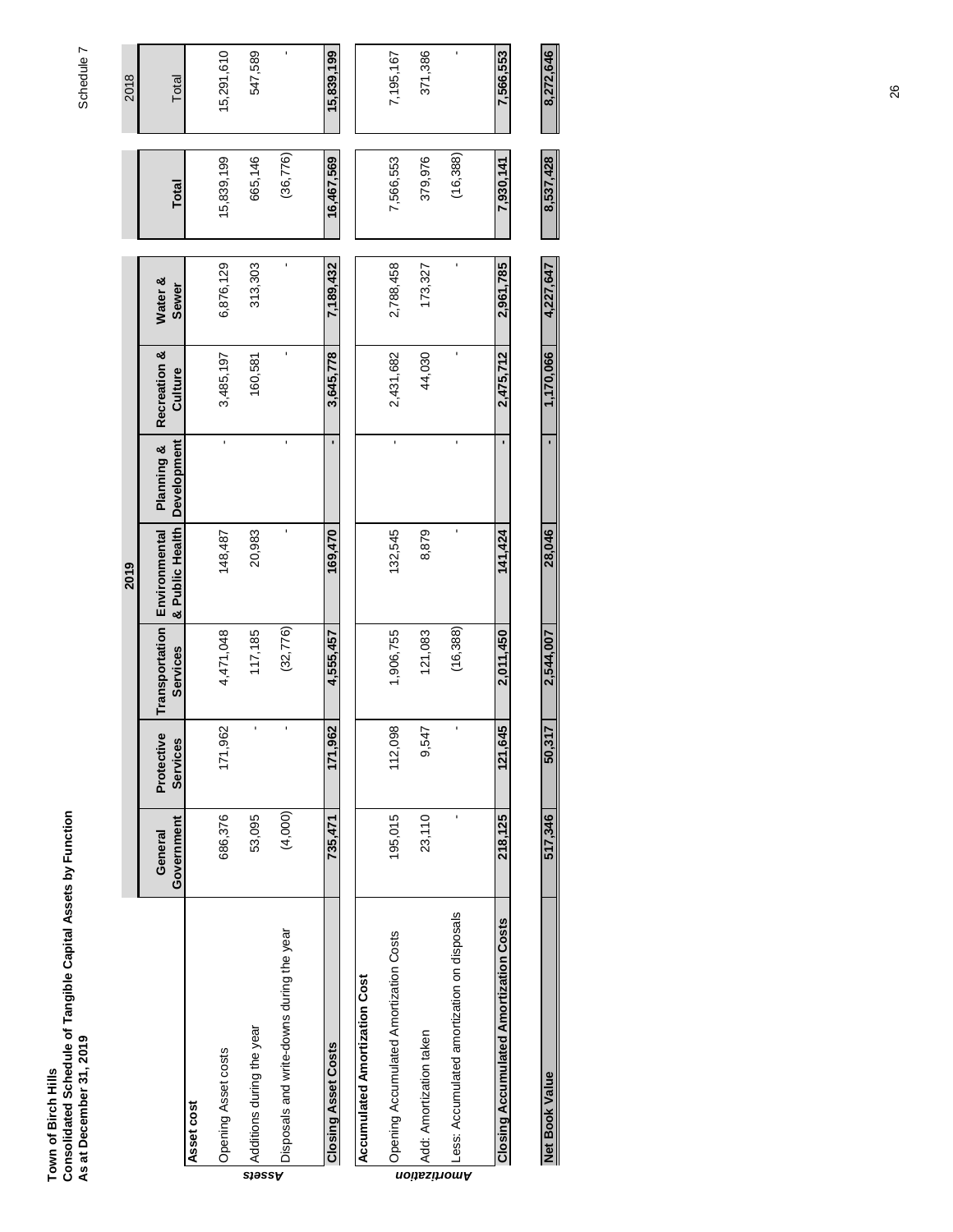| 2018 | Total                                           |            | 15,291,610          | 547,589                   |                                           | 15,839,199                 |                                      | 7,195,167                              | 371,386                 |                                             | 7,566,553                                     |
|------|-------------------------------------------------|------------|---------------------|---------------------------|-------------------------------------------|----------------------------|--------------------------------------|----------------------------------------|-------------------------|---------------------------------------------|-----------------------------------------------|
|      |                                                 |            |                     |                           |                                           |                            |                                      |                                        |                         |                                             |                                               |
|      | Total                                           |            | 15,839,199          | 665,146                   | (36, 776)                                 | 16,467,569                 |                                      | 7,566,553                              | 379,976                 | (16, 388)                                   | 7,930,141                                     |
|      |                                                 |            |                     |                           |                                           |                            |                                      |                                        |                         |                                             |                                               |
|      | Water &<br><b>Sewer</b>                         |            | 6,876,129           | 313,303                   |                                           | 7,189,432                  |                                      | 2,788,458                              | 173,327                 |                                             | 2,961,785                                     |
|      | Recreation &<br>Culture                         |            | 3,485,197           | 160,581                   | $\blacksquare$                            | 3,645,778                  |                                      | 2,431,682                              | 44,030                  | ı                                           | 2,475,712                                     |
|      | Development<br>Planning &                       |            |                     |                           |                                           |                            |                                      |                                        |                         |                                             |                                               |
| 2019 | & Public Health                                 |            | 148,487             | 20,983                    | ı                                         | 169,470                    |                                      | 132,545                                | 8,879                   | $\blacksquare$                              | 141,424                                       |
|      | <b>Transportation Environmental</b><br>Services |            | 4,471,048           | 117,185                   | (32, 776)                                 | 4,555,457                  |                                      | 1,906,755                              | 121,083                 | (16, 388)                                   | 2,011,450                                     |
|      | Protective<br>Services                          |            | 171,962             | ı                         | ı                                         | 171,962                    |                                      | 112,098                                | 9,547                   | 1                                           | $\frac{45}{5}$<br>121,6                       |
|      | Government<br>General                           |            | 686,376             | 53,095                    | (4,000)                                   | 735,471                    |                                      | 195,015                                | 23,110                  | ı                                           | 218,125                                       |
|      |                                                 | Asset cost | Opening Asset costs | Additions during the year | Disposals and write-downs during the year | <b>Closing Asset Costs</b> | <b>Accumulated Amortization Cost</b> | Opening Accumulated Amortization Costs | Add: Amortization taken | Less: Accumulated amortization on disposals | <b>Closing Accumulated Amortization Costs</b> |
|      |                                                 |            |                     | Assets                    |                                           |                            |                                      |                                        | Amortization            |                                             |                                               |

Schedule 7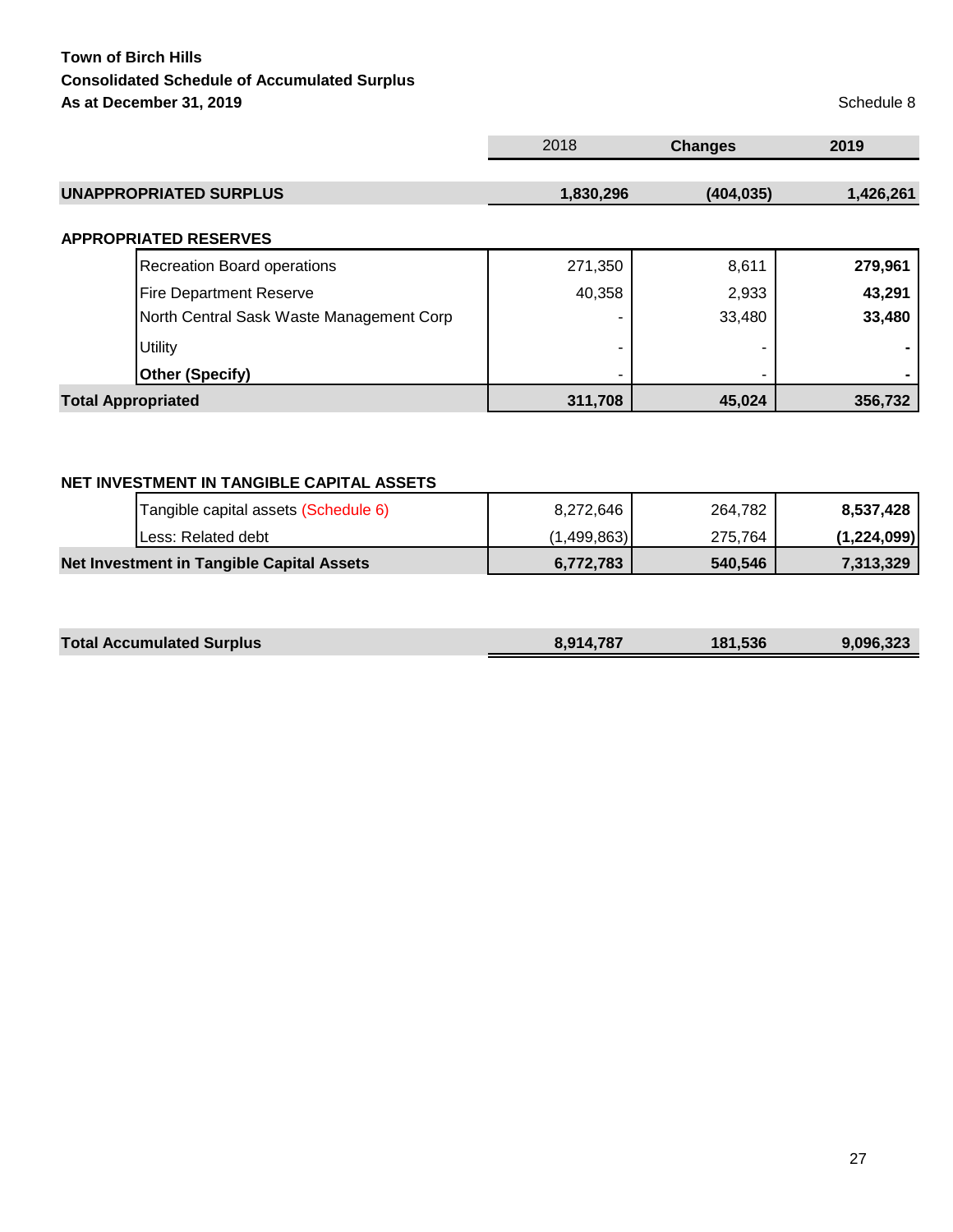### **Town of Birch Hills Consolidated Schedule of Accumulated Surplus As at December 31, 2019** Schedule 8

|                               |                                          | 2018      | <b>Changes</b> |           |
|-------------------------------|------------------------------------------|-----------|----------------|-----------|
| <b>UNAPPROPRIATED SURPLUS</b> |                                          |           |                |           |
|                               |                                          | 1,830,296 | (404,035)      | 1,426,261 |
|                               | <b>APPROPRIATED RESERVES</b>             |           |                |           |
|                               | Recreation Board operations              | 271,350   | 8,611          | 279,961   |
|                               | <b>Fire Department Reserve</b>           | 40,358    | 2,933          | 43,291    |
|                               | North Central Sask Waste Management Corp |           | 33,480         | 33,480    |
|                               | Utility                                  |           |                |           |
|                               | <b>Other (Specify)</b>                   |           |                |           |
| <b>Total Appropriated</b>     |                                          | 311,708   | 45,024         | 356,732   |

### **NET INVESTMENT IN TANGIBLE CAPITAL ASSETS**

| Tangible capital assets (Schedule 6)      | 8,272,646   | 264,782 | 8,537,428   |
|-------------------------------------------|-------------|---------|-------------|
| Less: Related debt                        | (1,499,863) | 275,764 | (1,224,099) |
| Net Investment in Tangible Capital Assets | 6,772,783   | 540,546 | 7,313,329   |

| <b>Total Accumulated Surplus</b> | 8,914,787 | 181,536 | 9,096,323 |
|----------------------------------|-----------|---------|-----------|
|                                  |           |         |           |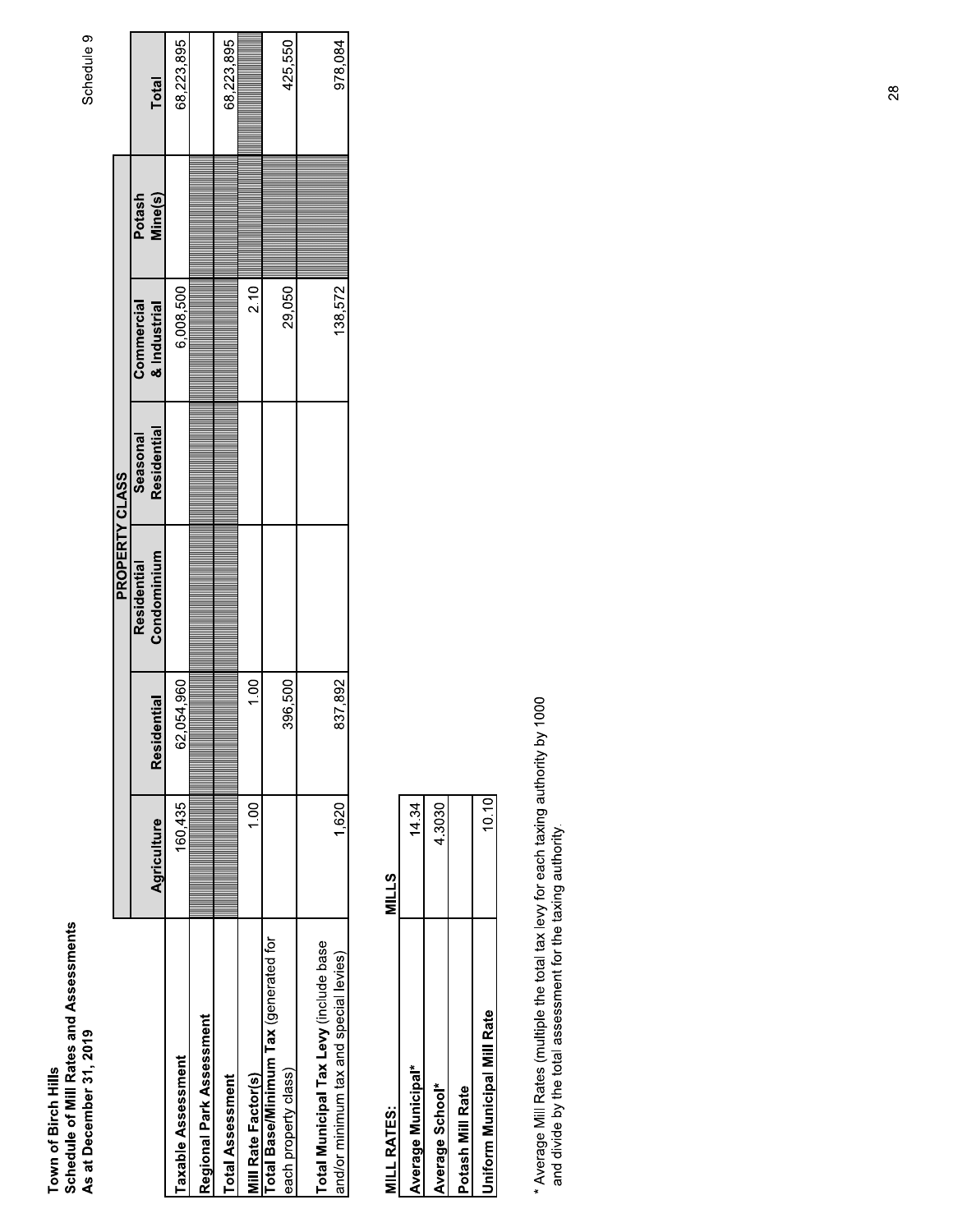# Schedule of Mill Rates and Assessments<br>As at December 31, 2019 Town of Birch Hills

|                                                                                  |               |                 | PROPERTY CLASS |             |              |         |              |
|----------------------------------------------------------------------------------|---------------|-----------------|----------------|-------------|--------------|---------|--------------|
|                                                                                  |               |                 | Residential    | Seasonal    | Commercial   | Potash  |              |
|                                                                                  | Agriculture   | dential<br>Resi | Condominium    | Residential | & Industrial | Mine(s) | <b>Total</b> |
| Taxable Assessment                                                               | 160,435       | 62,054,960      |                |             | 6,008,500    |         | 68,223,895   |
| Regional Park Assessment                                                         |               |                 |                |             |              |         |              |
| Total Assessment                                                                 |               |                 |                |             |              |         | 68,223,895   |
| <b>Mill Rate Factor(s)</b>                                                       | $\frac{8}{1}$ | $\frac{0}{1}$   |                |             | 2.10         |         |              |
| Total Base/Minimum Tax (generated for<br>each property class)                    |               | 396,500         |                |             | 29,050       |         | 425,550      |
| Total Municipal Tax Levy (include base<br>and/or minimum tax and special levies) | 1,620         | 837,892         |                |             | 138,572      |         | 978,084      |
|                                                                                  |               |                 |                |             |              |         |              |

| <b>MILL RATES:</b>          | <b>MILLS</b> |
|-----------------------------|--------------|
| Average Municipal*          | 14.34        |
| Average School*             | 43030        |
| Potash Mill Rate            |              |
| Uniform Municipal Mill Rate | 10.10        |

\* Average Mill Rates (multiple the total tax levy for each taxing authority by 1000<br>and divide by the total assessment for the taxing authority.